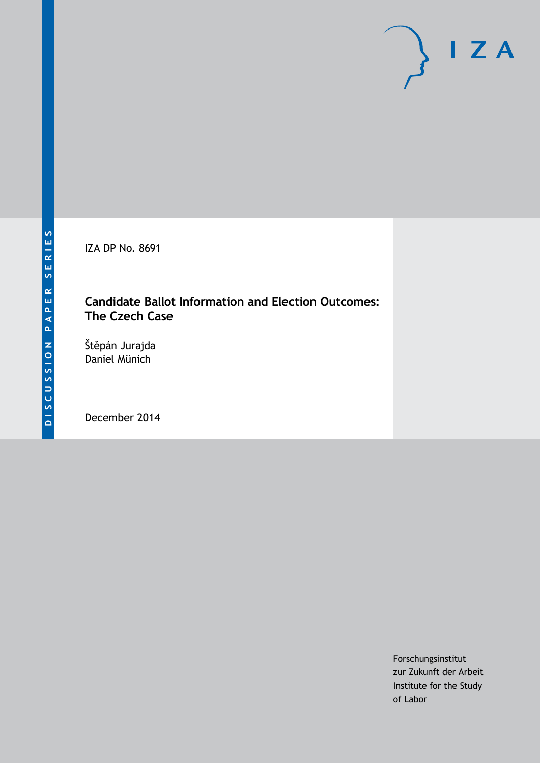IZA DP No. 8691

### **Candidate Ballot Information and Election Outcomes: The Czech Case**

Stěpán Jurajda Daniel Münich

December 2014

Forschungsinstitut zur Zukunft der Arbeit Institute for the Study of Labor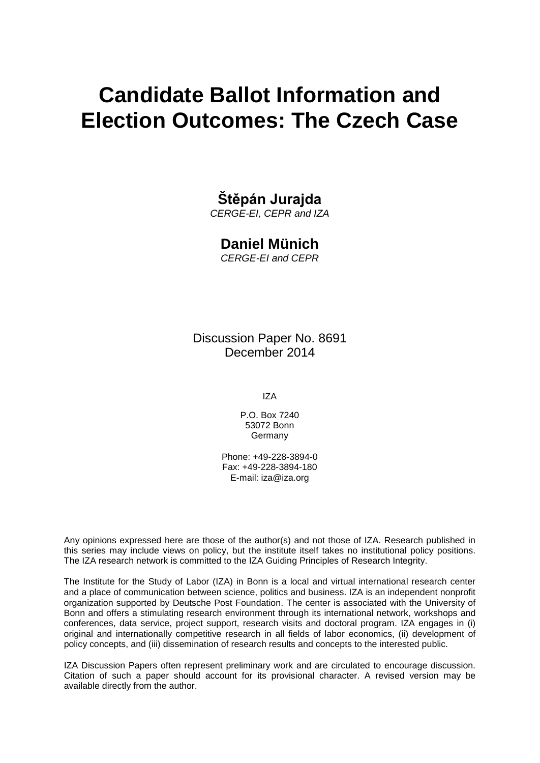# **Candidate Ballot Information and Election Outcomes: The Czech Case**

## **Štěpán Jurajda**

*CERGE-EI, CEPR and IZA*

### **Daniel Münich**

*CERGE-EI and CEPR*

Discussion Paper No. 8691 December 2014

IZA

P.O. Box 7240 53072 Bonn Germany

Phone: +49-228-3894-0 Fax: +49-228-3894-180 E-mail: [iza@iza.org](mailto:iza@iza.org)

Any opinions expressed here are those of the author(s) and not those of IZA. Research published in this series may include views on policy, but the institute itself takes no institutional policy positions. The IZA research network is committed to the IZA Guiding Principles of Research Integrity.

The Institute for the Study of Labor (IZA) in Bonn is a local and virtual international research center and a place of communication between science, politics and business. IZA is an independent nonprofit organization supported by Deutsche Post Foundation. The center is associated with the University of Bonn and offers a stimulating research environment through its international network, workshops and conferences, data service, project support, research visits and doctoral program. IZA engages in (i) original and internationally competitive research in all fields of labor economics, (ii) development of policy concepts, and (iii) dissemination of research results and concepts to the interested public.

<span id="page-1-0"></span>IZA Discussion Papers often represent preliminary work and are circulated to encourage discussion. Citation of such a paper should account for its provisional character. A revised version may be available directly from the author.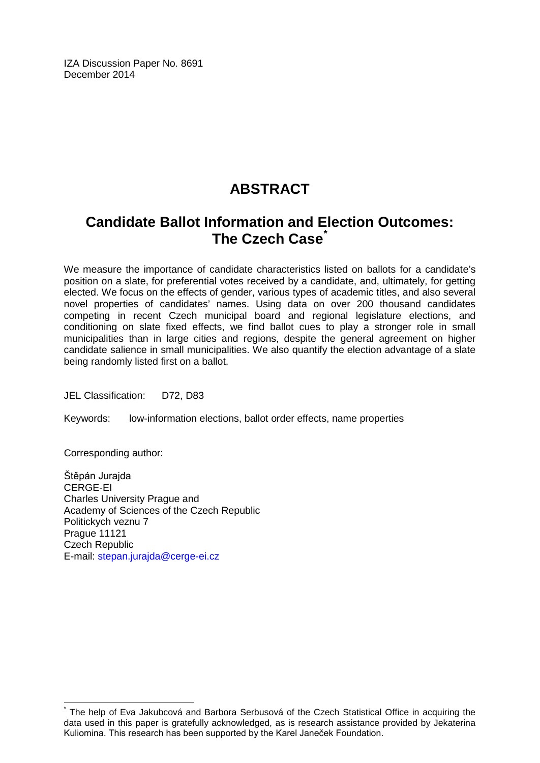IZA Discussion Paper No. 8691 December 2014

# **ABSTRACT**

# **Candidate Ballot Information and Election Outcomes: The Czech Case[\\*](#page-1-0)**

We measure the importance of candidate characteristics listed on ballots for a candidate's position on a slate, for preferential votes received by a candidate, and, ultimately, for getting elected. We focus on the effects of gender, various types of academic titles, and also several novel properties of candidates' names. Using data on over 200 thousand candidates competing in recent Czech municipal board and regional legislature elections, and conditioning on slate fixed effects, we find ballot cues to play a stronger role in small municipalities than in large cities and regions, despite the general agreement on higher candidate salience in small municipalities. We also quantify the election advantage of a slate being randomly listed first on a ballot.

JEL Classification: D72, D83

Keywords: low-information elections, ballot order effects, name properties

Corresponding author:

Štěpán Jurajda CERGE-EI Charles University Prague and Academy of Sciences of the Czech Republic Politickych veznu 7 Prague 11121 Czech Republic E-mail: [stepan.jurajda@cerge-ei.cz](mailto:stepan.jurajda@cerge-ei.cz)

The help of Eva Jakubcová and Barbora Serbusová of the Czech Statistical Office in acquiring the data used in this paper is gratefully acknowledged, as is research assistance provided by Jekaterina Kuliomina. This research has been supported by the Karel Janeček Foundation.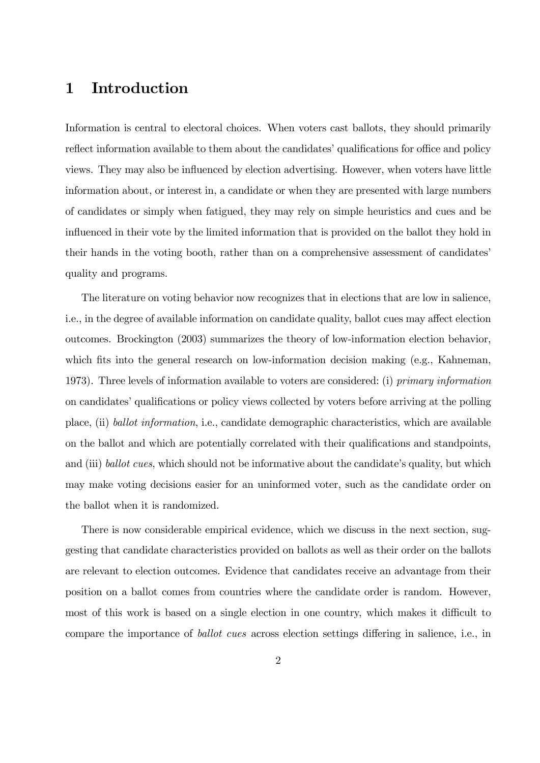### 1 Introduction

Information is central to electoral choices. When voters cast ballots, they should primarily reflect information available to them about the candidates' qualifications for office and policy views. They may also be influenced by election advertising. However, when voters have little information about, or interest in, a candidate or when they are presented with large numbers of candidates or simply when fatigued, they may rely on simple heuristics and cues and be influenced in their vote by the limited information that is provided on the ballot they hold in their hands in the voting booth, rather than on a comprehensive assessment of candidates' quality and programs.

The literature on voting behavior now recognizes that in elections that are low in salience, i.e., in the degree of available information on candidate quality, ballot cues may affect election outcomes. Brockington (2003) summarizes the theory of low-information election behavior, which fits into the general research on low-information decision making (e.g., Kahneman, 1973). Three levels of information available to voters are considered: (i) primary information on candidates' qualifications or policy views collected by voters before arriving at the polling place, (ii) ballot information, i.e., candidate demographic characteristics, which are available on the ballot and which are potentially correlated with their qualifications and standpoints, and (iii) ballot cues, which should not be informative about the candidate's quality, but which may make voting decisions easier for an uninformed voter, such as the candidate order on the ballot when it is randomized.

There is now considerable empirical evidence, which we discuss in the next section, suggesting that candidate characteristics provided on ballots as well as their order on the ballots are relevant to election outcomes. Evidence that candidates receive an advantage from their position on a ballot comes from countries where the candidate order is random. However, most of this work is based on a single election in one country, which makes it difficult to compare the importance of *ballot cues* across election settings differing in salience, i.e., in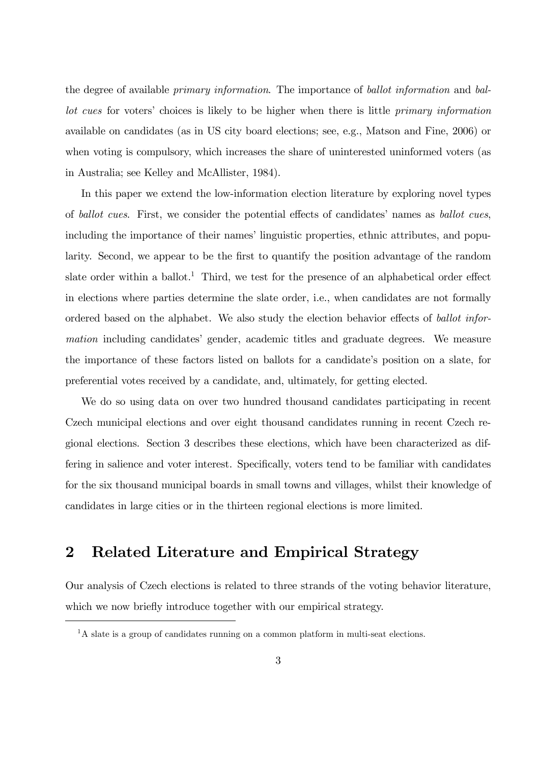the degree of available primary information. The importance of ballot information and ballot cues for voters' choices is likely to be higher when there is little *primary information* available on candidates (as in US city board elections; see, e.g., Matson and Fine, 2006) or when voting is compulsory, which increases the share of uninterested uninformed voters (as in Australia; see Kelley and McAllister, 1984).

In this paper we extend the low-information election literature by exploring novel types of ballot cues. First, we consider the potential effects of candidates' names as ballot cues, including the importance of their names' linguistic properties, ethnic attributes, and popularity. Second, we appear to be the first to quantify the position advantage of the random slate order within a ballot.<sup>1</sup> Third, we test for the presence of an alphabetical order effect in elections where parties determine the slate order, i.e., when candidates are not formally ordered based on the alphabet. We also study the election behavior effects of *ballot infor*mation including candidates' gender, academic titles and graduate degrees. We measure the importance of these factors listed on ballots for a candidate's position on a slate, for preferential votes received by a candidate, and, ultimately, for getting elected.

We do so using data on over two hundred thousand candidates participating in recent Czech municipal elections and over eight thousand candidates running in recent Czech regional elections. Section 3 describes these elections, which have been characterized as differing in salience and voter interest. Specifically, voters tend to be familiar with candidates for the six thousand municipal boards in small towns and villages, whilst their knowledge of candidates in large cities or in the thirteen regional elections is more limited.

## 2 Related Literature and Empirical Strategy

Our analysis of Czech elections is related to three strands of the voting behavior literature, which we now briefly introduce together with our empirical strategy.

<sup>&</sup>lt;sup>1</sup>A slate is a group of candidates running on a common platform in multi-seat elections.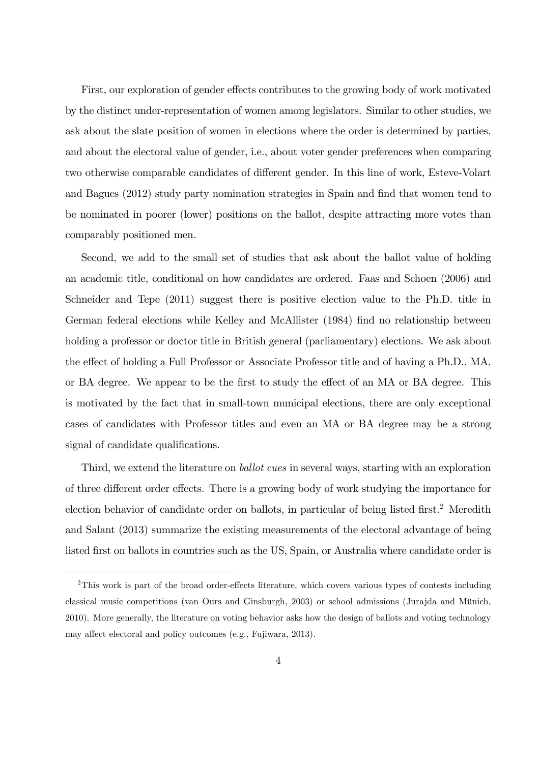First, our exploration of gender effects contributes to the growing body of work motivated by the distinct under-representation of women among legislators. Similar to other studies, we ask about the slate position of women in elections where the order is determined by parties, and about the electoral value of gender, i.e., about voter gender preferences when comparing two otherwise comparable candidates of different gender. In this line of work, Esteve-Volart and Bagues (2012) study party nomination strategies in Spain and find that women tend to be nominated in poorer (lower) positions on the ballot, despite attracting more votes than comparably positioned men.

Second, we add to the small set of studies that ask about the ballot value of holding an academic title, conditional on how candidates are ordered. Faas and Schoen (2006) and Schneider and Tepe (2011) suggest there is positive election value to the Ph.D. title in German federal elections while Kelley and McAllister (1984) find no relationship between holding a professor or doctor title in British general (parliamentary) elections. We ask about the effect of holding a Full Professor or Associate Professor title and of having a Ph.D., MA, or BA degree. We appear to be the first to study the effect of an MA or BA degree. This is motivated by the fact that in small-town municipal elections, there are only exceptional cases of candidates with Professor titles and even an MA or BA degree may be a strong signal of candidate qualifications.

Third, we extend the literature on ballot cues in several ways, starting with an exploration of three different order effects. There is a growing body of work studying the importance for election behavior of candidate order on ballots, in particular of being listed first.<sup>2</sup> Meredith and Salant (2013) summarize the existing measurements of the electoral advantage of being listed first on ballots in countries such as the US, Spain, or Australia where candidate order is

 $2$ This work is part of the broad order-effects literature, which covers various types of contests including classical music competitions (van Ours and Ginsburgh, 2003) or school admissions (Jurajda and Münich, 2010). More generally, the literature on voting behavior asks how the design of ballots and voting technology may affect electoral and policy outcomes (e.g., Fujiwara, 2013).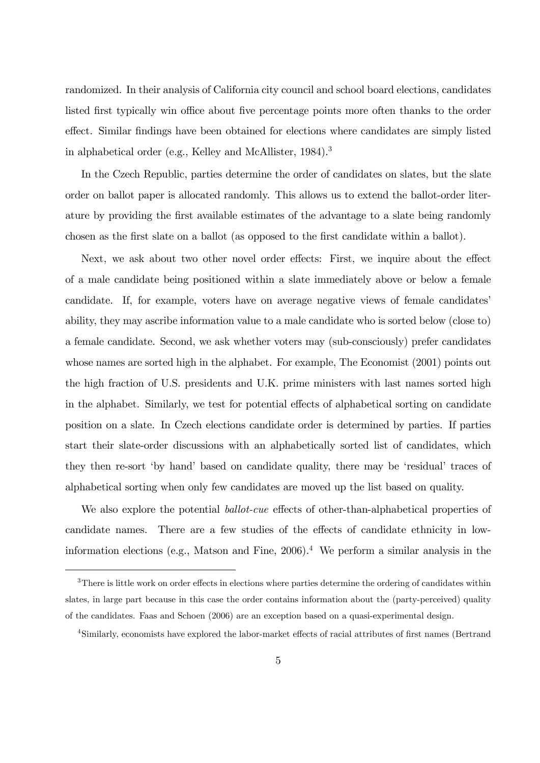randomized. In their analysis of California city council and school board elections, candidates listed first typically win office about five percentage points more often thanks to the order effect. Similar findings have been obtained for elections where candidates are simply listed in alphabetical order (e.g., Kelley and McAllister, 1984).<sup>3</sup>

In the Czech Republic, parties determine the order of candidates on slates, but the slate order on ballot paper is allocated randomly. This allows us to extend the ballot-order literature by providing the first available estimates of the advantage to a slate being randomly chosen as the Örst slate on a ballot (as opposed to the Örst candidate within a ballot).

Next, we ask about two other novel order effects: First, we inquire about the effect of a male candidate being positioned within a slate immediately above or below a female candidate. If, for example, voters have on average negative views of female candidates ability, they may ascribe information value to a male candidate who is sorted below (close to) a female candidate. Second, we ask whether voters may (sub-consciously) prefer candidates whose names are sorted high in the alphabet. For example, The Economist (2001) points out the high fraction of U.S. presidents and U.K. prime ministers with last names sorted high in the alphabet. Similarly, we test for potential effects of alphabetical sorting on candidate position on a slate. In Czech elections candidate order is determined by parties. If parties start their slate-order discussions with an alphabetically sorted list of candidates, which they then re-sort 'by hand' based on candidate quality, there may be 'residual' traces of alphabetical sorting when only few candidates are moved up the list based on quality.

We also explore the potential *ballot-cue* effects of other-than-alphabetical properties of candidate names. There are a few studies of the effects of candidate ethnicity in lowinformation elections (e.g., Matson and Fine,  $2006$ ).<sup>4</sup> We perform a similar analysis in the

 $3$ There is little work on order effects in elections where parties determine the ordering of candidates within slates, in large part because in this case the order contains information about the (party-perceived) quality of the candidates. Faas and Schoen (2006) are an exception based on a quasi-experimental design.

<sup>&</sup>lt;sup>4</sup>Similarly, economists have explored the labor-market effects of racial attributes of first names (Bertrand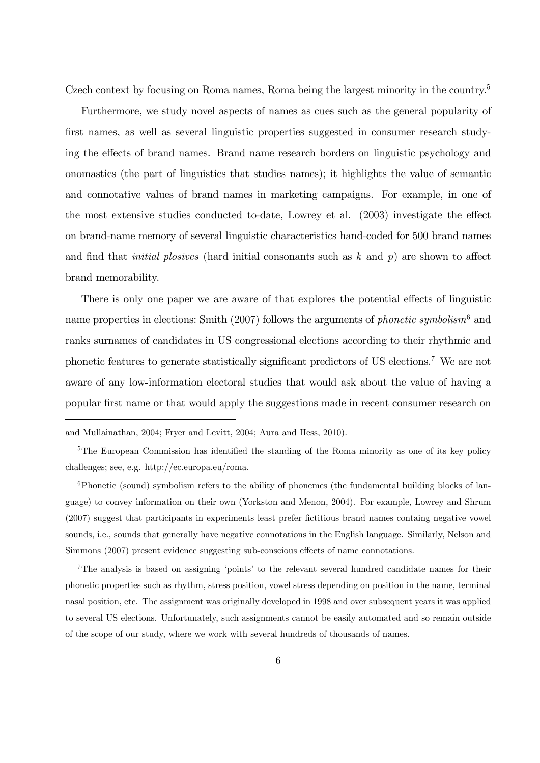Czech context by focusing on Roma names, Roma being the largest minority in the country.<sup>5</sup>

Furthermore, we study novel aspects of names as cues such as the general popularity of first names, as well as several linguistic properties suggested in consumer research studying the effects of brand names. Brand name research borders on linguistic psychology and onomastics (the part of linguistics that studies names); it highlights the value of semantic and connotative values of brand names in marketing campaigns. For example, in one of the most extensive studies conducted to-date. Lowrey et al.  $(2003)$  investigate the effect on brand-name memory of several linguistic characteristics hand-coded for 500 brand names and find that *initial plosives* (hard initial consonants such as k and p) are shown to affect brand memorability.

There is only one paper we are aware of that explores the potential effects of linguistic name properties in elections: Smith (2007) follows the arguments of *phonetic symbolism*<sup>6</sup> and ranks surnames of candidates in US congressional elections according to their rhythmic and phonetic features to generate statistically significant predictors of US elections.<sup>7</sup> We are not aware of any low-information electoral studies that would ask about the value of having a popular Örst name or that would apply the suggestions made in recent consumer research on

and Mullainathan, 2004; Fryer and Levitt, 2004; Aura and Hess, 2010).

 $6P$ honetic (sound) symbolism refers to the ability of phonemes (the fundamental building blocks of language) to convey information on their own (Yorkston and Menon, 2004). For example, Lowrey and Shrum (2007) suggest that participants in experiments least prefer Öctitious brand names containg negative vowel sounds, i.e., sounds that generally have negative connotations in the English language. Similarly, Nelson and Simmons (2007) present evidence suggesting sub-conscious effects of name connotations.

<sup>7</sup>The analysis is based on assigning 'points' to the relevant several hundred candidate names for their phonetic properties such as rhythm, stress position, vowel stress depending on position in the name, terminal nasal position, etc. The assignment was originally developed in 1998 and over subsequent years it was applied to several US elections. Unfortunately, such assignments cannot be easily automated and so remain outside of the scope of our study, where we work with several hundreds of thousands of names.

 $5$ The European Commission has identified the standing of the Roma minority as one of its key policy challenges; see, e.g. http://ec.europa.eu/roma.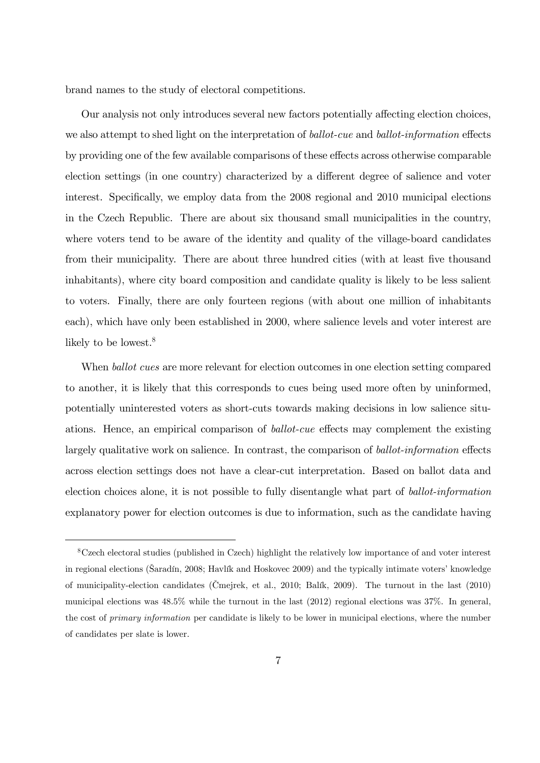brand names to the study of electoral competitions.

Our analysis not only introduces several new factors potentially affecting election choices, we also attempt to shed light on the interpretation of *ballot-cue* and *ballot-information* effects by providing one of the few available comparisons of these effects across otherwise comparable election settings (in one country) characterized by a different degree of salience and voter interest. Specifically, we employ data from the 2008 regional and 2010 municipal elections in the Czech Republic. There are about six thousand small municipalities in the country, where voters tend to be aware of the identity and quality of the village-board candidates from their municipality. There are about three hundred cities (with at least five thousand inhabitants), where city board composition and candidate quality is likely to be less salient to voters. Finally, there are only fourteen regions (with about one million of inhabitants each), which have only been established in 2000, where salience levels and voter interest are likely to be lowest.<sup>8</sup>

When *ballot cues* are more relevant for election outcomes in one election setting compared to another, it is likely that this corresponds to cues being used more often by uninformed, potentially uninterested voters as short-cuts towards making decisions in low salience situations. Hence, an empirical comparison of *ballot-cue* effects may complement the existing largely qualitative work on salience. In contrast, the comparison of *ballot-information* effects across election settings does not have a clear-cut interpretation. Based on ballot data and election choices alone, it is not possible to fully disentangle what part of ballot-information explanatory power for election outcomes is due to information, such as the candidate having

<sup>8</sup>Czech electoral studies (published in Czech) highlight the relatively low importance of and voter interest in regional elections (Šaradín, 2008; Havlík and Hoskovec 2009) and the typically intimate voters' knowledge of municipality-election candidates (Cmejrek, et al., 2010; Balík, 2009). The turnout in the last  $(2010)$ municipal elections was 48.5% while the turnout in the last (2012) regional elections was 37%. In general, the cost of primary information per candidate is likely to be lower in municipal elections, where the number of candidates per slate is lower.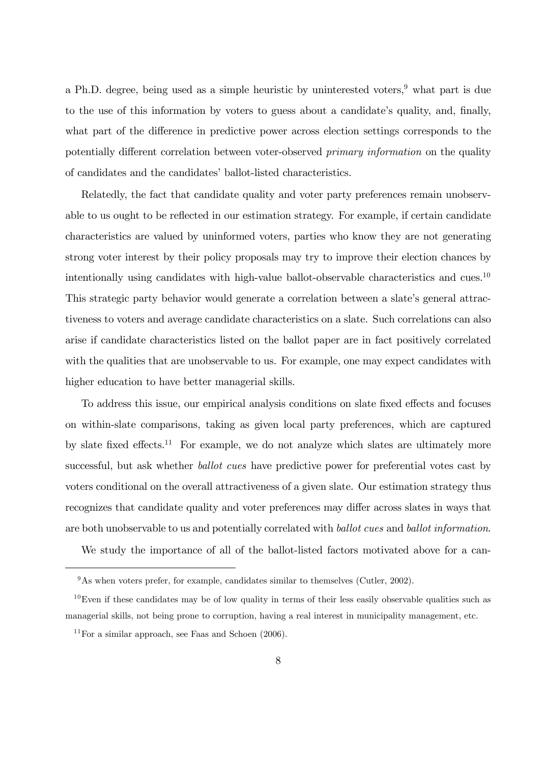a Ph.D. degree, being used as a simple heuristic by uninterested voters,<sup>9</sup> what part is due to the use of this information by voters to guess about a candidate's quality, and, finally, what part of the difference in predictive power across election settings corresponds to the potentially different correlation between voter-observed *primary information* on the quality of candidates and the candidates' ballot-listed characteristics.

Relatedly, the fact that candidate quality and voter party preferences remain unobservable to us ought to be reflected in our estimation strategy. For example, if certain candidate characteristics are valued by uninformed voters, parties who know they are not generating strong voter interest by their policy proposals may try to improve their election chances by intentionally using candidates with high-value ballot-observable characteristics and cues.<sup>10</sup> This strategic party behavior would generate a correlation between a slate's general attractiveness to voters and average candidate characteristics on a slate. Such correlations can also arise if candidate characteristics listed on the ballot paper are in fact positively correlated with the qualities that are unobservable to us. For example, one may expect candidates with higher education to have better managerial skills.

To address this issue, our empirical analysis conditions on slate fixed effects and focuses on within-slate comparisons, taking as given local party preferences, which are captured by slate fixed effects.<sup>11</sup> For example, we do not analyze which slates are ultimately more successful, but ask whether *ballot cues* have predictive power for preferential votes cast by voters conditional on the overall attractiveness of a given slate. Our estimation strategy thus recognizes that candidate quality and voter preferences may differ across slates in ways that are both unobservable to us and potentially correlated with ballot cues and ballot information.

We study the importance of all of the ballot-listed factors motivated above for a can-

 $9^9$ As when voters prefer, for example, candidates similar to themselves (Cutler, 2002).

 $10$ Even if these candidates may be of low quality in terms of their less easily observable qualities such as managerial skills, not being prone to corruption, having a real interest in municipality management, etc.

 $11$  For a similar approach, see Faas and Schoen (2006).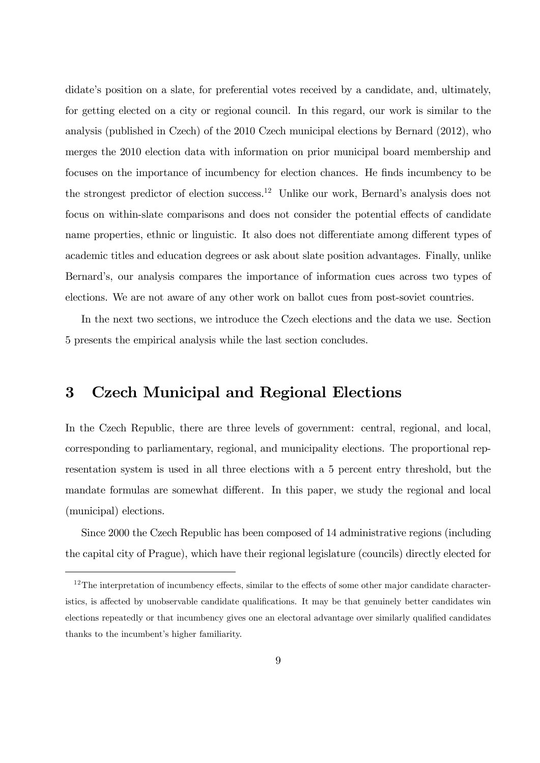didate's position on a slate, for preferential votes received by a candidate, and, ultimately, for getting elected on a city or regional council. In this regard, our work is similar to the analysis (published in Czech) of the 2010 Czech municipal elections by Bernard (2012), who merges the 2010 election data with information on prior municipal board membership and focuses on the importance of incumbency for election chances. He finds incumbency to be the strongest predictor of election success.<sup>12</sup> Unlike our work, Bernard's analysis does not focus on within-slate comparisons and does not consider the potential effects of candidate name properties, ethnic or linguistic. It also does not differentiate among different types of academic titles and education degrees or ask about slate position advantages. Finally, unlike Bernard's, our analysis compares the importance of information cues across two types of elections. We are not aware of any other work on ballot cues from post-soviet countries.

In the next two sections, we introduce the Czech elections and the data we use. Section 5 presents the empirical analysis while the last section concludes.

#### 3 Czech Municipal and Regional Elections

In the Czech Republic, there are three levels of government: central, regional, and local, corresponding to parliamentary, regional, and municipality elections. The proportional representation system is used in all three elections with a 5 percent entry threshold, but the mandate formulas are somewhat different. In this paper, we study the regional and local (municipal) elections.

Since 2000 the Czech Republic has been composed of 14 administrative regions (including the capital city of Prague), which have their regional legislature (councils) directly elected for

 $12$ The interpretation of incumbency effects, similar to the effects of some other major candidate characteristics, is affected by unobservable candidate qualifications. It may be that genuinely better candidates win elections repeatedly or that incumbency gives one an electoral advantage over similarly qualified candidates thanks to the incumbent's higher familiarity.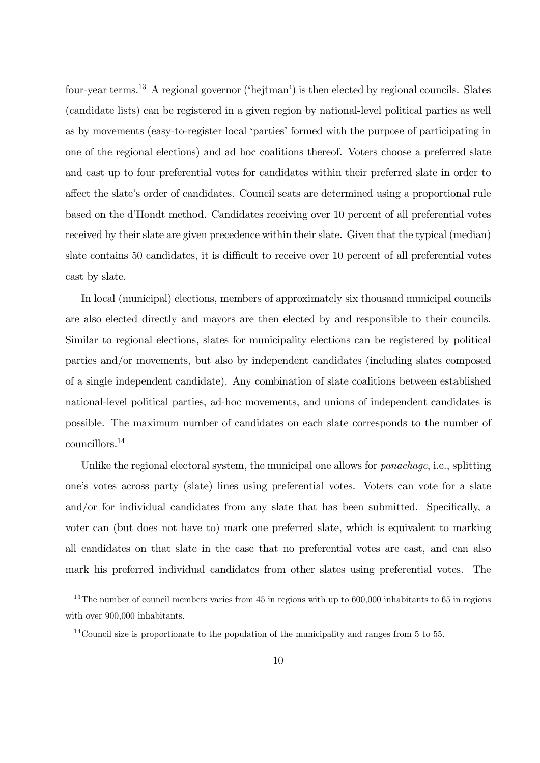four-year terms.<sup>13</sup> A regional governor ('hejtman') is then elected by regional councils. Slates (candidate lists) can be registered in a given region by national-level political parties as well as by movements (easy-to-register local 'parties' formed with the purpose of participating in one of the regional elections) and ad hoc coalitions thereof. Voters choose a preferred slate and cast up to four preferential votes for candidates within their preferred slate in order to affect the slate's order of candidates. Council seats are determined using a proportional rule based on the díHondt method. Candidates receiving over 10 percent of all preferential votes received by their slate are given precedence within their slate. Given that the typical (median) slate contains 50 candidates, it is difficult to receive over 10 percent of all preferential votes cast by slate.

In local (municipal) elections, members of approximately six thousand municipal councils are also elected directly and mayors are then elected by and responsible to their councils. Similar to regional elections, slates for municipality elections can be registered by political parties and/or movements, but also by independent candidates (including slates composed of a single independent candidate). Any combination of slate coalitions between established national-level political parties, ad-hoc movements, and unions of independent candidates is possible. The maximum number of candidates on each slate corresponds to the number of councillors.<sup>14</sup>

Unlike the regional electoral system, the municipal one allows for *panachage*, i.e., splitting oneís votes across party (slate) lines using preferential votes. Voters can vote for a slate and/or for individual candidates from any slate that has been submitted. Specifically, a voter can (but does not have to) mark one preferred slate, which is equivalent to marking all candidates on that slate in the case that no preferential votes are cast, and can also mark his preferred individual candidates from other slates using preferential votes. The

 $13$ The number of council members varies from 45 in regions with up to 600,000 inhabitants to 65 in regions with over 900,000 inhabitants.

<sup>&</sup>lt;sup>14</sup>Council size is proportionate to the population of the municipality and ranges from 5 to 55.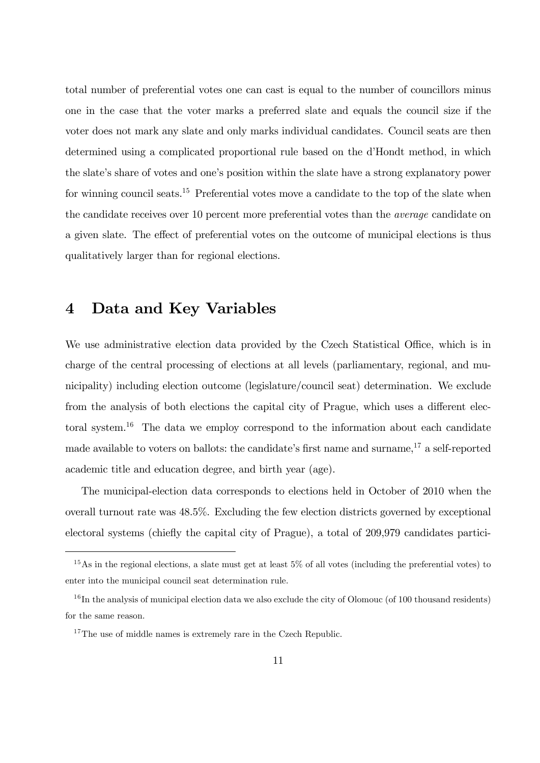total number of preferential votes one can cast is equal to the number of councillors minus one in the case that the voter marks a preferred slate and equals the council size if the voter does not mark any slate and only marks individual candidates. Council seats are then determined using a complicated proportional rule based on the d'Hondt method, in which the slate's share of votes and one's position within the slate have a strong explanatory power for winning council seats.<sup>15</sup> Preferential votes move a candidate to the top of the slate when the candidate receives over 10 percent more preferential votes than the average candidate on a given slate. The effect of preferential votes on the outcome of municipal elections is thus qualitatively larger than for regional elections.

#### 4 Data and Key Variables

We use administrative election data provided by the Czech Statistical Office, which is in charge of the central processing of elections at all levels (parliamentary, regional, and municipality) including election outcome (legislature/council seat) determination. We exclude from the analysis of both elections the capital city of Prague, which uses a different electoral system.<sup>16</sup> The data we employ correspond to the information about each candidate made available to voters on ballots: the candidate's first name and surname, $^{17}$  a self-reported academic title and education degree, and birth year (age).

The municipal-election data corresponds to elections held in October of 2010 when the overall turnout rate was 48.5%. Excluding the few election districts governed by exceptional electoral systems (chieáy the capital city of Prague), a total of 209,979 candidates partici-

<sup>&</sup>lt;sup>15</sup>As in the regional elections, a slate must get at least  $5\%$  of all votes (including the preferential votes) to enter into the municipal council seat determination rule.

 $16$  In the analysis of municipal election data we also exclude the city of Olomouc (of 100 thousand residents) for the same reason.

<sup>&</sup>lt;sup>17</sup>The use of middle names is extremely rare in the Czech Republic.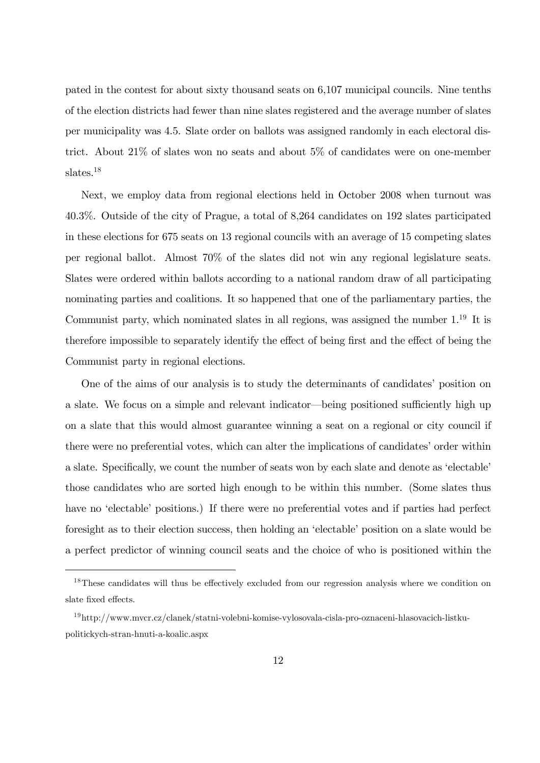pated in the contest for about sixty thousand seats on 6,107 municipal councils. Nine tenths of the election districts had fewer than nine slates registered and the average number of slates per municipality was 4.5. Slate order on ballots was assigned randomly in each electoral district. About 21% of slates won no seats and about 5% of candidates were on one-member slates.<sup>18</sup>

Next, we employ data from regional elections held in October 2008 when turnout was 40.3%. Outside of the city of Prague, a total of 8,264 candidates on 192 slates participated in these elections for 675 seats on 13 regional councils with an average of 15 competing slates per regional ballot. Almost 70% of the slates did not win any regional legislature seats. Slates were ordered within ballots according to a national random draw of all participating nominating parties and coalitions. It so happened that one of the parliamentary parties, the Communist party, which nominated slates in all regions, was assigned the number  $1<sup>19</sup>$  It is therefore impossible to separately identify the effect of being first and the effect of being the Communist party in regional elections.

One of the aims of our analysis is to study the determinants of candidates' position on a slate. We focus on a simple and relevant indicator—being positioned sufficiently high up on a slate that this would almost guarantee winning a seat on a regional or city council if there were no preferential votes, which can alter the implications of candidates' order within a slate. Specifically, we count the number of seats won by each slate and denote as 'electable' those candidates who are sorted high enough to be within this number. (Some slates thus have no 'electable' positions.) If there were no preferential votes and if parties had perfect foresight as to their election success, then holding an 'electable' position on a slate would be a perfect predictor of winning council seats and the choice of who is positioned within the

 $18$ These candidates will thus be effectively excluded from our regression analysis where we condition on slate fixed effects.

<sup>19</sup>http://www.mvcr.cz/clanek/statni-volebni-komise-vylosovala-cisla-pro-oznaceni-hlasovacich-listkupolitickych-stran-hnuti-a-koalic.aspx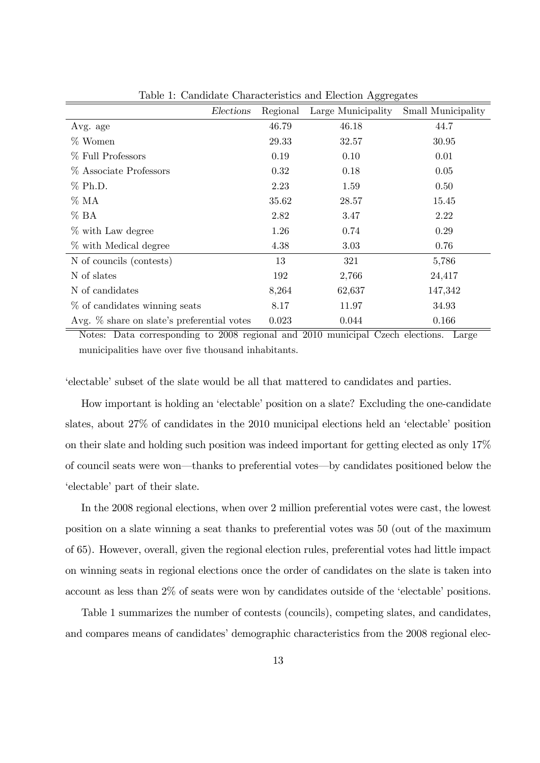|                                            | Elections | Regional | Large Municipality | Small Municipality |
|--------------------------------------------|-----------|----------|--------------------|--------------------|
| Avg. age                                   |           | 46.79    | 46.18              | 44.7               |
| $%$ Women                                  |           | 29.33    | 32.57              | 30.95              |
| % Full Professors                          |           | 0.19     | 0.10               | 0.01               |
| % Associate Professors                     |           | 0.32     | 0.18               | 0.05               |
| % Ph.D.                                    |           | 2.23     | 1.59               | 0.50               |
| $\%$ MA                                    |           | 35.62    | 28.57              | 15.45              |
| % BA                                       |           | 2.82     | 3.47               | 2.22               |
| % with Law degree                          |           | 1.26     | 0.74               | 0.29               |
| % with Medical degree                      |           | 4.38     | 3.03               | 0.76               |
| N of councils (contests)                   |           | 13       | 321                | 5,786              |
| N of slates                                |           | 192      | 2,766              | 24,417             |
| N of candidates                            |           | 8,264    | 62,637             | 147,342            |
| $%$ of candidates winning seats            |           | 8.17     | 11.97              | 34.93              |
| Avg. % share on slate's preferential votes |           | 0.023    | 0.044              | 0.166              |

Table 1: Candidate Characteristics and Election Aggregates

Notes: Data corresponding to 2008 regional and 2010 municipal Czech elections. Large municipalities have over five thousand inhabitants.

'electable' subset of the slate would be all that mattered to candidates and parties.

How important is holding an 'electable' position on a slate? Excluding the one-candidate slates, about  $27\%$  of candidates in the 2010 municipal elections held an 'electable' position on their slate and holding such position was indeed important for getting elected as only 17% of council seats were won—thanks to preferential votes—by candidates positioned below the electable' part of their slate.

In the 2008 regional elections, when over 2 million preferential votes were cast, the lowest position on a slate winning a seat thanks to preferential votes was 50 (out of the maximum of 65). However, overall, given the regional election rules, preferential votes had little impact on winning seats in regional elections once the order of candidates on the slate is taken into account as less than  $2\%$  of seats were won by candidates outside of the 'electable' positions.

Table 1 summarizes the number of contests (councils), competing slates, and candidates, and compares means of candidates' demographic characteristics from the 2008 regional elec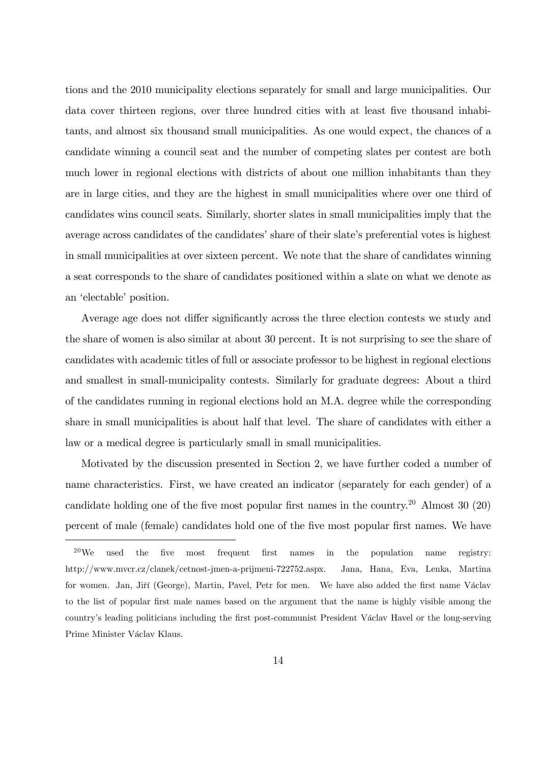tions and the 2010 municipality elections separately for small and large municipalities. Our data cover thirteen regions, over three hundred cities with at least five thousand inhabitants, and almost six thousand small municipalities. As one would expect, the chances of a candidate winning a council seat and the number of competing slates per contest are both much lower in regional elections with districts of about one million inhabitants than they are in large cities, and they are the highest in small municipalities where over one third of candidates wins council seats. Similarly, shorter slates in small municipalities imply that the average across candidates of the candidates' share of their slate's preferential votes is highest in small municipalities at over sixteen percent. We note that the share of candidates winning a seat corresponds to the share of candidates positioned within a slate on what we denote as an 'electable' position.

Average age does not differ significantly across the three election contests we study and the share of women is also similar at about 30 percent. It is not surprising to see the share of candidates with academic titles of full or associate professor to be highest in regional elections and smallest in small-municipality contests. Similarly for graduate degrees: About a third of the candidates running in regional elections hold an M.A. degree while the corresponding share in small municipalities is about half that level. The share of candidates with either a law or a medical degree is particularly small in small municipalities.

Motivated by the discussion presented in Section 2, we have further coded a number of name characteristics. First, we have created an indicator (separately for each gender) of a candidate holding one of the five most popular first names in the country.<sup>20</sup> Almost 30 (20) percent of male (female) candidates hold one of the Öve most popular Örst names. We have

 $^{20}\text{We}$  used the five most frequent first names in the population name registry: http://www.mvcr.cz/clanek/cetnost-jmen-a-prijmeni-722752.aspx. Jana, Hana, Eva, Lenka, Martina for women. Jan, Jiří (George), Martin, Pavel, Petr for men. We have also added the first name Václav to the list of popular first male names based on the argument that the name is highly visible among the country's leading politicians including the first post-communist President Václav Havel or the long-serving Prime Minister Václav Klaus.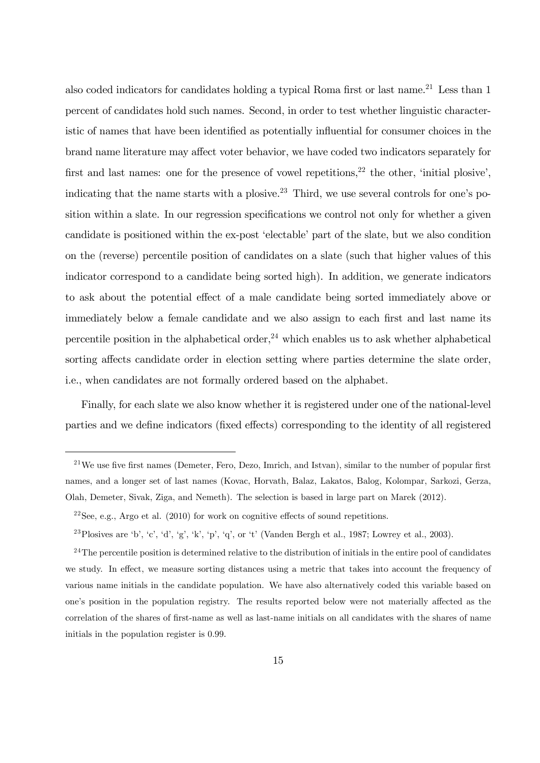also coded indicators for candidates holding a typical Roma first or last name.<sup>21</sup> Less than 1 percent of candidates hold such names. Second, in order to test whether linguistic characteristic of names that have been identified as potentially influential for consumer choices in the brand name literature may affect voter behavior, we have coded two indicators separately for first and last names: one for the presence of vowel repetitions,<sup>22</sup> the other, 'initial plosive'. indicating that the name starts with a plosive.<sup>23</sup> Third, we use several controls for one's position within a slate. In our regression specifications we control not only for whether a given candidate is positioned within the ex-post 'electable' part of the slate, but we also condition on the (reverse) percentile position of candidates on a slate (such that higher values of this indicator correspond to a candidate being sorted high). In addition, we generate indicators to ask about the potential effect of a male candidate being sorted immediately above or immediately below a female candidate and we also assign to each first and last name its percentile position in the alphabetical order, $24$  which enables us to ask whether alphabetical sorting affects candidate order in election setting where parties determine the slate order. i.e., when candidates are not formally ordered based on the alphabet.

Finally, for each slate we also know whether it is registered under one of the national-level parties and we define indicators (fixed effects) corresponding to the identity of all registered

 $21$ We use five first names (Demeter, Fero, Dezo, Imrich, and Istvan), similar to the number of popular first names, and a longer set of last names (Kovac, Horvath, Balaz, Lakatos, Balog, Kolompar, Sarkozi, Gerza, Olah, Demeter, Sivak, Ziga, and Nemeth). The selection is based in large part on Marek (2012).

 $22$ See, e.g., Argo et al. (2010) for work on cognitive effects of sound repetitions.

<sup>&</sup>lt;sup>23</sup>Plosives are 'b', 'c', 'd', 'g', 'k', 'p', 'q', or 't' (Vanden Bergh et al., 1987; Lowrey et al., 2003).

 $24$ The percentile position is determined relative to the distribution of initials in the entire pool of candidates we study. In effect, we measure sorting distances using a metric that takes into account the frequency of various name initials in the candidate population. We have also alternatively coded this variable based on one's position in the population registry. The results reported below were not materially affected as the correlation of the shares of first-name as well as last-name initials on all candidates with the shares of name initials in the population register is 0.99.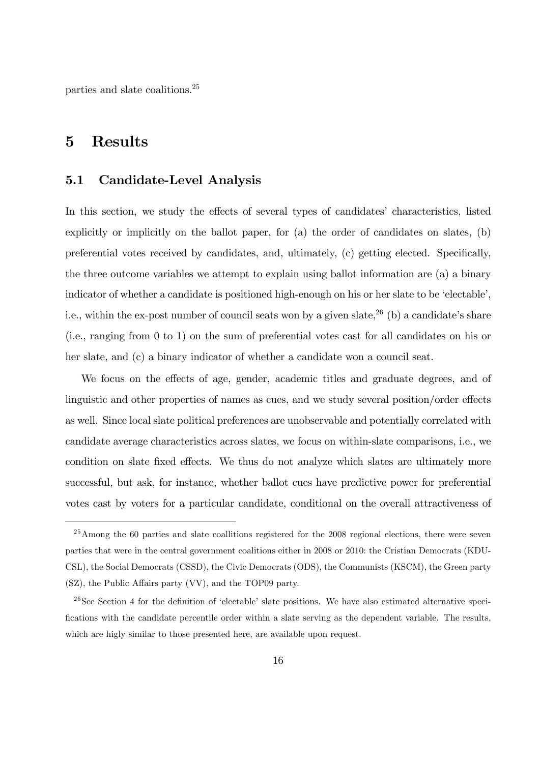parties and slate coalitions.<sup>25</sup>

## 5 Results

#### 5.1 Candidate-Level Analysis

In this section, we study the effects of several types of candidates' characteristics, listed explicitly or implicitly on the ballot paper, for (a) the order of candidates on slates, (b) preferential votes received by candidates, and, ultimately,  $(c)$  getting elected. Specifically, the three outcome variables we attempt to explain using ballot information are (a) a binary indicator of whether a candidate is positioned high-enough on his or her slate to be 'electable'. i.e., within the ex-post number of council seats won by a given slate,  $26$  (b) a candidate's share (i.e., ranging from 0 to 1) on the sum of preferential votes cast for all candidates on his or her slate, and (c) a binary indicator of whether a candidate won a council seat.

We focus on the effects of age, gender, academic titles and graduate degrees, and of linguistic and other properties of names as cues, and we study several position/order effects as well. Since local slate political preferences are unobservable and potentially correlated with candidate average characteristics across slates, we focus on within-slate comparisons, i.e., we condition on slate fixed effects. We thus do not analyze which slates are ultimately more successful, but ask, for instance, whether ballot cues have predictive power for preferential votes cast by voters for a particular candidate, conditional on the overall attractiveness of

<sup>&</sup>lt;sup>25</sup>Among the 60 parties and slate coallitions registered for the 2008 regional elections, there were seven parties that were in the central government coalitions either in 2008 or 2010: the Cristian Democrats (KDU-CSL), the Social Democrats (CSSD), the Civic Democrats (ODS), the Communists (KSCM), the Green party (SZ), the Public Affairs party (VV), and the TOP09 party.

 $26$ See Section 4 for the definition of 'electable' slate positions. We have also estimated alternative specifications with the candidate percentile order within a slate serving as the dependent variable. The results, which are higly similar to those presented here, are available upon request.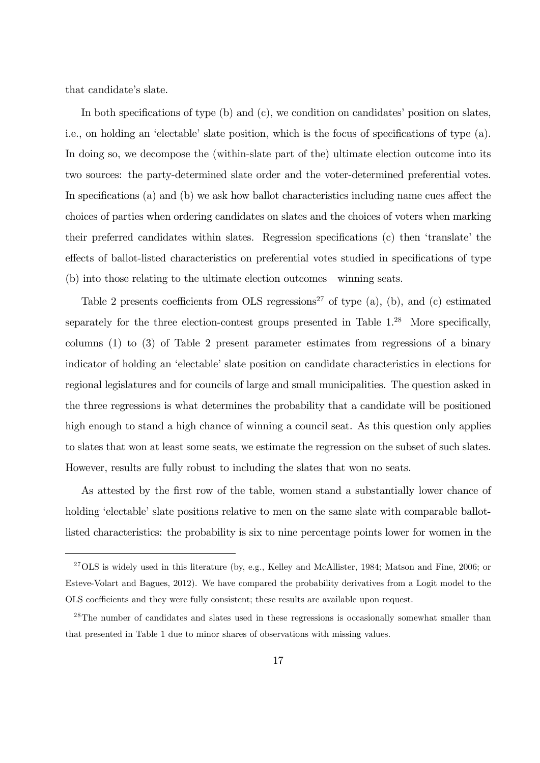that candidate's slate.

In both specifications of type  $(b)$  and  $(c)$ , we condition on candidates' position on slates, i.e., on holding an 'electable' slate position, which is the focus of specifications of type (a). In doing so, we decompose the (within-slate part of the) ultimate election outcome into its two sources: the party-determined slate order and the voter-determined preferential votes. In specifications (a) and (b) we ask how ballot characteristics including name cues affect the choices of parties when ordering candidates on slates and the choices of voters when marking their preferred candidates within slates. Regression specifications  $(c)$  then 'translate' the effects of ballot-listed characteristics on preferential votes studied in specifications of type  $(b)$  into those relating to the ultimate election outcomes—winning seats.

Table 2 presents coefficients from OLS regressions<sup>27</sup> of type (a), (b), and (c) estimated separately for the three election-contest groups presented in Table  $1.^{28}$  More specifically. columns (1) to (3) of Table 2 present parameter estimates from regressions of a binary indicator of holding an 'electable' slate position on candidate characteristics in elections for regional legislatures and for councils of large and small municipalities. The question asked in the three regressions is what determines the probability that a candidate will be positioned high enough to stand a high chance of winning a council seat. As this question only applies to slates that won at least some seats, we estimate the regression on the subset of such slates. However, results are fully robust to including the slates that won no seats.

As attested by the first row of the table, women stand a substantially lower chance of holding 'electable' slate positions relative to men on the same slate with comparable ballotlisted characteristics: the probability is six to nine percentage points lower for women in the

<sup>27</sup>OLS is widely used in this literature (by, e.g., Kelley and McAllister, 1984; Matson and Fine, 2006; or Esteve-Volart and Bagues, 2012). We have compared the probability derivatives from a Logit model to the OLS coefficients and they were fully consistent; these results are available upon request.

<sup>&</sup>lt;sup>28</sup>The number of candidates and slates used in these regressions is occasionally somewhat smaller than that presented in Table 1 due to minor shares of observations with missing values.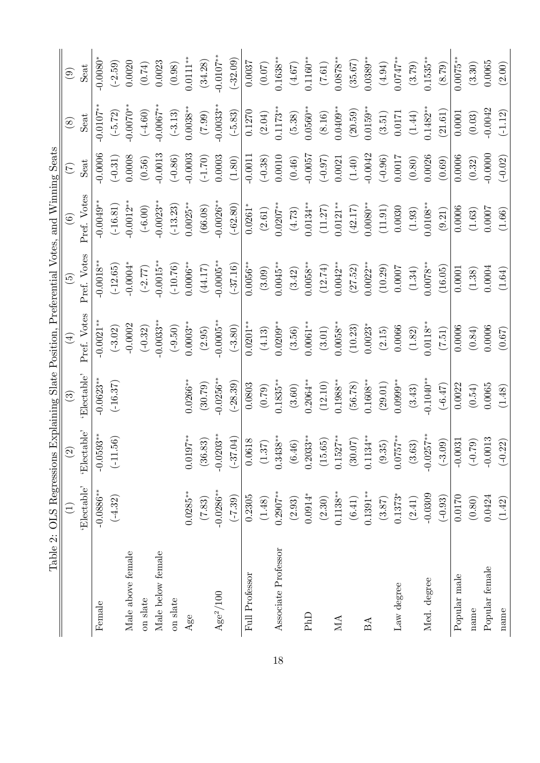|                     |                      |                                  |                          |              | Table 2: OLS Regressions Explaining Slate Position, Preferential Votes, and Winning Seats |                       |                     |                      |              |
|---------------------|----------------------|----------------------------------|--------------------------|--------------|-------------------------------------------------------------------------------------------|-----------------------|---------------------|----------------------|--------------|
|                     | $\widehat{\Xi}$      | $\omega$                         | $\widehat{\mathfrak{B}}$ | $\bigoplus$  | $\widetilde{\mathfrak{G}}$                                                                | $\widehat{\odot}$     | E                   | $\circledS$          | $\odot$      |
|                     | 'Electable'          | 'Electable'                      | 'Electable'              | Pref. Votes  | Pref. Votes                                                                               | Pref. Votes           | Seat                | Seat                 | Seat         |
| Female              | $-0.0886**$          | .593**<br>$-0.0$                 | $-0.0623**$              | $-0.0021*$   | $-0.0018$                                                                                 | $-0.0049*$            | $-0.0006$           | $-0.0107$            | $-0.0080$    |
|                     | $(-4.32)$            | 1.56)<br>$\overline{\mathbb{L}}$ | $(-16.37)$               | $(-3.02)$    | $(-12.65)$                                                                                | $(-16.81)$            | $(-0.31)$           | $(-5.72)$            | $(-2.59)$    |
| Male above female   |                      |                                  |                          | $-0.0002$    | $-0.0004*$                                                                                | $-0.0012**$           | 0.0008              | $0.0070$ *           | 0.0020       |
| on slate            |                      |                                  |                          | $(-0.32)$    | $(-2.77)$                                                                                 | $(-6.00)$             | (0.56)              | $(-4.60)$            | (0.74)       |
| Male below female   |                      |                                  |                          | $-0.0033**$  | $-0.0015**$                                                                               | $-0.0023**$           | $-0.0013$           | $0.0067**$           | 0.0023       |
| on slate            |                      |                                  |                          | $(-9.50)$    | $(-10.76)$                                                                                | $(-13.23)$            | $(-0.86)$           | $(-3.13)$            | (0.98)       |
| Age                 | $0.0285***$          | $0.0197***$                      | $0.0266$ *               | $0.0003**$   | $0.0006**$                                                                                | $0.0025**$            | $-0.0003$           | $0.0038**$           | $0.011**$    |
|                     | (7.83)               | $(36.83)$                        | (30.79)                  | (2.95)       | $(44.17)$                                                                                 | (66.08)               | $(-1.70)$           | (7.99)               | (34.28)      |
| $\rm{Age}^2/100$    | $-0.0286***$         | $-0.0203**$                      | $-0.0256**$              | $-0.0005***$ | $-0.0005***$                                                                              | $-0.0026**$           | 0.0003              | $-0.0033**$          | $-0.0107$ ** |
|                     | $(-7.39)$            | $(-37.04)$                       | $(-28.39)$               | $(-3.80)$    | $(-37.16)$                                                                                | $(-62.80)$            | (1.80)              | $(-5.83)$            | $(-32.09)$   |
| Full Professor      | 0.2305               | $0.0618\,$                       | 0.0803                   | $0.0201**$   | $0.0056**$                                                                                | $0.0261*$             | $-0.0011$           | 0.1270               | 0.0037       |
|                     | (1.48)               | $(1.37)$                         | (0.79)                   | (4.13)       | $(3.09)$                                                                                  | $(2.61)$              | $(-0.38)$           | $(2.04)$             | (0.07)       |
| Associate Professor | $0.2907***$          | $0.3438***$                      | $0.1835***$              | $0.0209**$   | $0.0045***$                                                                               | $0.0207***$           | 0.0010              | $0.1173**$           | $0.1638***$  |
|                     | (2.93)               | (6.46)                           | (3.60)                   | (3.56)       | (3.42)                                                                                    | (4.73)                | (0.46)              | (5.38)               | $(4.67)$     |
| PhD                 | $0.0914*$            | $0.2033***$                      | $0.2064***$              | $0.0061***$  | $0.0058***$                                                                               | $0.0134***$           | $-0.0057$           | $0.0560**$           | $0.1160**$   |
|                     | (2.30)               | (15.65)                          | (12.10)                  | $(3.01)$     | (12.74)                                                                                   | $(11.27)$             | $(76.0-)$           | $\left( 8.16\right)$ | $(7.61)$     |
| MN                  | $0.1138***$          | $0.1527***$                      | $0.1988**$               | $0.0058***$  | $0.0042**$                                                                                | $0.0121**$            | 0.0021              | $0.0409**$           | $0.0878**$   |
|                     | $\left( 6.41\right)$ | (30.07)                          | (56.78)                  | (10.23)      | (27.52)                                                                                   | (42.17)               | $(1.40)$            | (20.59)              | (35.67)      |
| BA                  | $0.1391***$          | $0.1134***$                      | $0.1608**$               | $0.0023*$    | $0.0022**$                                                                                | $0.0080**$            | $-0.0042$           | $0.0159***$          | $0.0389**$   |
|                     | (3.87)               | (35)<br>$\odot$                  | $\left( 29.01\right)$    | $(2.15)$     | (10.29)                                                                                   | $\left( 11.91\right)$ | $(-0.96)$           | $(3.51)$             | (4.94)       |
| Law degree          | $0.1373*$            | $0.0757***$                      | $0.0999**$               | 0.0066       | 0.0007                                                                                    | 0.0030                | $0.0017$            | 0.0171               | $0.0747**$   |
|                     | (2.41)               | $\left( 3.63\right)$             | (3.43)                   | $(1.82)$     | (1.34)                                                                                    | $\left( 1.93\right)$  | $(0.80)$            | $(1.44)$             | (3.79)       |
| Med. degree         | $-0.0309$            | $-0.0257**$                      | $-0.1040*$               | $0.0118**$   | $0.0078***$                                                                               | $0.0108**$            | 0.0026              | $0.1482**$           | $0.1535***$  |
|                     | $(-0.93)$            | $(-3.09)$                        | $(54.6 - )$              | (7.51)       | (16.05)                                                                                   | (9.21)                | (0.69)              | (21.61)              | (8.79)       |
| Popular male        | 0.0170               | $-0.0031$                        | 0.0022                   | 0.0006       | 0.0001                                                                                    | 0.0006                | 0.0006              | 0.0001               | $0.0075**$   |
| name                | (0.80)               | $(-0.79)$                        | (0.54)                   | (0.84)       | (1.38)                                                                                    | $\left( 1.63\right)$  | $\left(0.32\right)$ | $\left(0.03\right)$  | $(3.30)$     |
| Popular female      | 0.0424               | $-0.0013$                        | 0.0065                   | 0.0006       | 0.0004                                                                                    | 0.0007                | $-0.0000$           | $-0.0042$            | 0.0065       |
| name                | (1.42)               | $(-0.22)$                        | (1.48)                   | (0.67)       | (1.64)                                                                                    | (1.66)                | $(-0.02)$           | $(-1.12)$            | $(2.00)$     |

18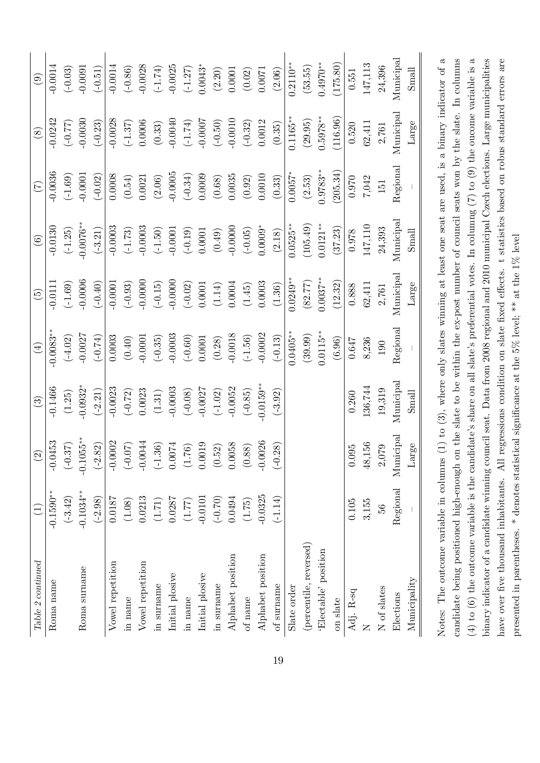| Table 2 continued      | $\overline{1}$ | $\widehat{\Omega}$                                   | $\odot$                | $\bigoplus$          | $\widetilde{5}$                                                      | (6)                                                       | $\widetilde{C}$                                 | $\circledS$           | $\left( \begin{matrix} 0 \\ 0 \end{matrix} \right)$ |
|------------------------|----------------|------------------------------------------------------|------------------------|----------------------|----------------------------------------------------------------------|-----------------------------------------------------------|-------------------------------------------------|-----------------------|-----------------------------------------------------|
| Roma name              | $-0.1590**$    | $-0.0453$                                            | $-0.1466$              | $0.0083**$           | $-0.011$                                                             | $-0.0130$                                                 | $-0.0036$                                       | $-0.0242$             | $-0.0014$                                           |
|                        | $(-3.42)$      | $\cdot$ 37)<br>$\supseteq$                           | (1.25)                 | $(-4.02)$            | $(-1.69)$                                                            | $(-1.25)$                                                 | $(-1.69)$                                       | $(77.0-)$             | $(-0.03)$                                           |
| Roma surname           | $-0.1034**$    | $-0.1055***$                                         | $-0.0932$ <sup>*</sup> | $-0.0027$            | $-0.0006$                                                            | $-0.0076**$                                               | $-0.0001$                                       | $-0.0030$             | $-0.0091$                                           |
|                        | $(-2.98)$      | $\overline{82}$<br>$\widetilde{C}$                   | $(-2.21)$              | $(+7.0)$             | $(-0.40)$                                                            | $(-3.21)$                                                 | $(-0.02)$                                       | $(-0.23)$             | $(-0.51)$                                           |
| Vowel repetition       | 0.0187         | $-0.0002$                                            | $-0.0023$              | 0.0003               | $-0.0001$                                                            | $-0.0003$                                                 | 0.0008                                          | $-0.0028$             | $-0.0014$                                           |
| in name                | (1.08)         | $(20.0-)$                                            |                        | $(0.40)$             | $(-0.93)$                                                            | $(-1.73)$                                                 | $\begin{array}{c} (0.54) \\ 0.0021 \end{array}$ | $(-1.37)$<br>0.0006   | $(-0.86)$                                           |
| Vowel repetition       | 0.0213         |                                                      | $(-0.72)$<br>0.0023    | $-0.0001$            | $-0.0000$                                                            | $-0.0003$                                                 |                                                 |                       | $-0.0028$                                           |
| in surname             | $(1.71)$       | $\cdot 36$<br>$\begin{array}{c} \square \end{array}$ | $\left( 1.31\right)$   | $(-0.35)$            | $(-0.15)$                                                            | $(-1.50)$                                                 | $(2.06)$                                        | $\left( 0.33\right)$  | $(-1.74)$                                           |
| Initial plosive        | 0.0287         | 0.0074                                               | $-0.0003$              | $-0.0003$            | $-0.0000$                                                            | $-0.0001$                                                 | $-0.0005$                                       | $-0.0040$             | $-0.0025$                                           |
| in name                | (1.77)         | $(1.76)$<br>0.0019                                   | $(-0.08)$              | $(-0.60)$<br>0.0001  |                                                                      |                                                           | $(-0.34)$<br>0.0009                             | $(-1.74)$             | $(-1.27)$                                           |
| Initial plosive        | $-0.0101$      |                                                      | $-0.0027$              |                      |                                                                      |                                                           |                                                 | -0.0007               | $0.0043*$                                           |
| in surname             | $(-0.70)$      | 52)<br>$\circ$                                       | $(-1.02)$              | $(0.28)$<br>-0.0018  | $\begin{array}{c} (-0.02) \\ 0.0001 \\ (1.14) \\ 0.0004 \end{array}$ | $\begin{pmatrix} -0.19 \\ 0.0001 \\ 0.0001 \end{pmatrix}$ | $(0.68)$<br>0.0035                              | $(-0.50)$             | $(2.20)$<br>0.0001                                  |
| Alphabet position      | 0.0494         | 058<br>0.0                                           | $-0.0052$              |                      |                                                                      | $-0.0000$                                                 |                                                 | $-0.0010$             |                                                     |
| of name                | (1.75)         | $.88\,$<br>$\dot{\circ}$                             | $(-0.85)$<br>0.0159**  | $(-1.56)$<br>-0.0002 | $(1.45)$<br>0.0003                                                   | $(-0.05)$                                                 | $(0.92)$<br>0.0010                              | $(-0.32)$             | $\left(0.02\right)$                                 |
| Alphabet position      | $-0.0325$      | $-0.0026$                                            |                        |                      |                                                                      | $0.0009*$                                                 |                                                 | 0.0012                | 0.0071                                              |
| of surname             | $(-1.14)$      | (28)<br>$\overline{C}$                               | $(-3.92)$              | $(-0.13)$            | (1.36)                                                               | (2.18)                                                    | (0.33)                                          | (0.35)                | (2.06)                                              |
| Slate order            |                |                                                      |                        | $0.0405**$           | $0.0249**$                                                           | $0.0525**$                                                | $0.0057*$                                       | $0.1165**$            | $0.2110**$                                          |
| (percentile, reversed) |                |                                                      |                        | (39.99)              | (82.77)                                                              | (105.49)                                                  | $(2.53)$                                        | $\left( 29.95\right)$ | (53.55)                                             |
| 'Electable' position   |                |                                                      |                        | $0.0115**$           | $0.0037***$                                                          | $0.0121**$                                                | $0.9783**$                                      | $0.5978***$           | $0.4970**$                                          |
| on slate               |                |                                                      |                        | (6.96)               | $\left( 12.32\right)$                                                | (37.23)                                                   | (205.34)                                        | (116.96)              | (175.80)                                            |
| Adj. R-sq              | $0.105\,$      | 0.095                                                | 0.260                  | $0.647\,$            | 0.888                                                                | 0.978                                                     | 0.970                                           | $0.520\,$             | 0.551                                               |
|                        | 3,155          | 48,156                                               | $136,\!744$            | 8,236                | 62,411                                                               | 147,110                                                   | 7,042                                           | 62,411                | 147,113                                             |
| N of slates            | 56             | 2,079                                                | 19,319                 | $190\,$              | 2,761                                                                | 24,393                                                    | $151$                                           | $2,761$               | 24,396                                              |
| Elections              | Regional       | Municipa                                             | Municipal              | Regiona              | Municipa                                                             | Municipa                                                  | Regiona                                         | Municipa              | M <sub>unicipal</sub>                               |
| $M$ unicipality        |                | Large                                                | Small                  |                      | Large                                                                | S <sub>mal</sub>                                          |                                                 | Large                 | Small                                               |
|                        |                |                                                      |                        |                      |                                                                      |                                                           |                                                 |                       |                                                     |

Notes: The outcome variable in columns  $(1)$  to  $(3)$ , where only slates winning at least one seat are used, is a binary indicator of a Notes: The outcome variable in columns (1) to (3), where only slates winning at least one seat are used, is a binary indicator of a candidate being positioned high-enough on the slate to be within the ex-post number of council seats won by the slate. In columns (4) to (6) the outcome variable is the candidate's share on all slate's preferential votes. In columng  $(7)$  to (9) the oucome variable is a (4) to (6) the outcome variable is the candidate's share on all slate's preferential votes. In columng (7) to (9) the oucome variable is a binary indicator of a candidate winning council seat. Data from 2008 regional and 2010 municipal Czech elections. Large municipalities have over five thousand inhabitants. All regressions condition on slate fixed effects. t statistics based on robus standard errors are candidate being positioned high-enough on the slate to be within the ex-post number of council seats won by the slate. In columns binary indicator of a candidate winning council seat. Data from 2008 regional and 2010 municipal Czech elections. Large municipalities have over five thousand inhabitants. All regressions condition on slate fixed effects. t statistics based on robus standard errors are presented in parentheses. \* denotes statistical significance at the  $5\%$  level; \*\* at the  $1\%$  level presented in parentheses. \* denotes statistical significance at the 5% level; \*\* at the  $1\%$  level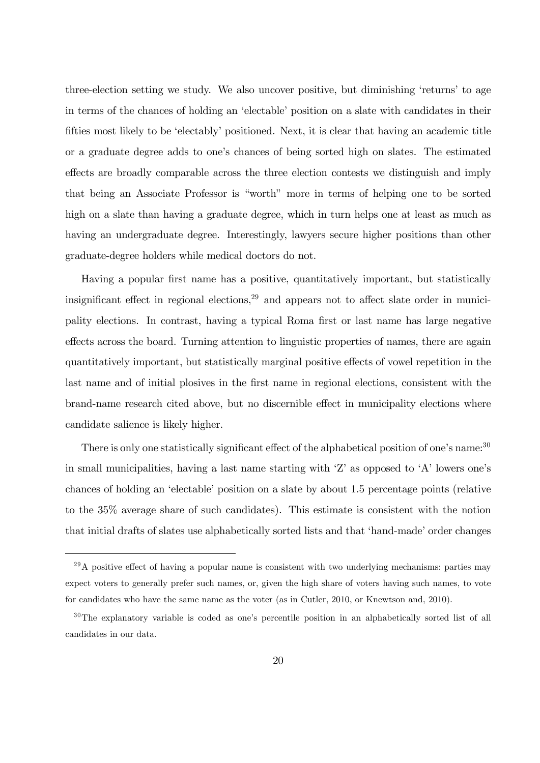three-election setting we study. We also uncover positive, but diminishing 'returns' to age in terms of the chances of holding an 'electable' position on a slate with candidates in their fifties most likely to be 'electably' positioned. Next, it is clear that having an academic title or a graduate degree adds to one's chances of being sorted high on slates. The estimated effects are broadly comparable across the three election contests we distinguish and imply that being an Associate Professor is "worth" more in terms of helping one to be sorted high on a slate than having a graduate degree, which in turn helps one at least as much as having an undergraduate degree. Interestingly, lawyers secure higher positions than other graduate-degree holders while medical doctors do not.

Having a popular first name has a positive, quantitatively important, but statistically insignificant effect in regional elections, $29$  and appears not to affect slate order in municipality elections. In contrast, having a typical Roma first or last name has large negative effects across the board. Turning attention to linguistic properties of names, there are again quantitatively important, but statistically marginal positive effects of vowel repetition in the last name and of initial plosives in the first name in regional elections, consistent with the brand-name research cited above, but no discernible effect in municipality elections where candidate salience is likely higher.

There is only one statistically significant effect of the alphabetical position of one's name: $30$ in small municipalities, having a last name starting with  $Z'$  as opposed to  $A'$  lowers one's chances of holding an 'electable' position on a slate by about 1.5 percentage points (relative to the 35% average share of such candidates). This estimate is consistent with the notion that initial drafts of slates use alphabetically sorted lists and that 'hand-made' order changes

 $29A$  positive effect of having a popular name is consistent with two underlying mechanisms: parties may expect voters to generally prefer such names, or, given the high share of voters having such names, to vote for candidates who have the same name as the voter (as in Cutler, 2010, or Knewtson and, 2010).

 $30$ The explanatory variable is coded as one's percentile position in an alphabetically sorted list of all candidates in our data.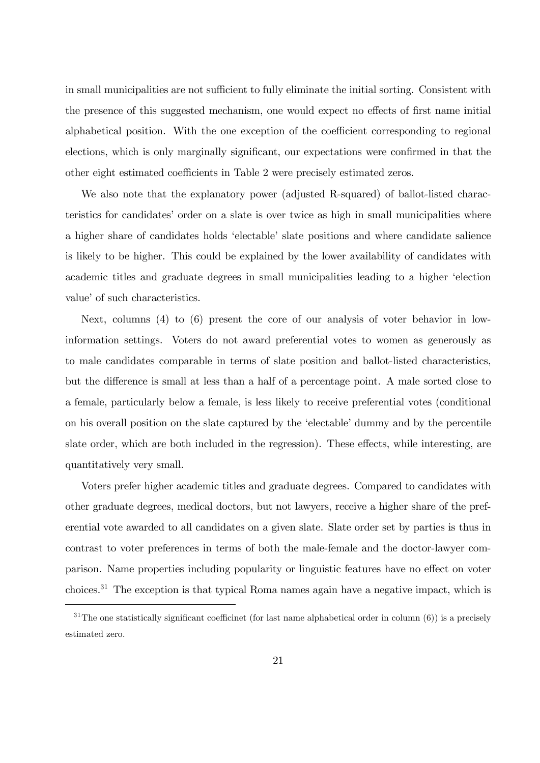in small municipalities are not sufficient to fully eliminate the initial sorting. Consistent with the presence of this suggested mechanism, one would expect no effects of first name initial alphabetical position. With the one exception of the coefficient corresponding to regional elections, which is only marginally significant, our expectations were confirmed in that the other eight estimated coefficients in Table 2 were precisely estimated zeros.

We also note that the explanatory power (adjusted R-squared) of ballot-listed characteristics for candidates' order on a slate is over twice as high in small municipalities where a higher share of candidates holds 'electable' slate positions and where candidate salience is likely to be higher. This could be explained by the lower availability of candidates with academic titles and graduate degrees in small municipalities leading to a higher 'election value' of such characteristics.

Next, columns (4) to (6) present the core of our analysis of voter behavior in lowinformation settings. Voters do not award preferential votes to women as generously as to male candidates comparable in terms of slate position and ballot-listed characteristics, but the difference is small at less than a half of a percentage point. A male sorted close to a female, particularly below a female, is less likely to receive preferential votes (conditional on his overall position on the slate captured by the 'electable' dummy and by the percentile slate order, which are both included in the regression). These effects, while interesting, are quantitatively very small.

Voters prefer higher academic titles and graduate degrees. Compared to candidates with other graduate degrees, medical doctors, but not lawyers, receive a higher share of the preferential vote awarded to all candidates on a given slate. Slate order set by parties is thus in contrast to voter preferences in terms of both the male-female and the doctor-lawyer comparison. Name properties including popularity or linguistic features have no effect on voter choices.<sup>31</sup> The exception is that typical Roma names again have a negative impact, which is

 $31$ The one statistically significant coefficinet (for last name alphabetical order in column  $(6)$ ) is a precisely estimated zero.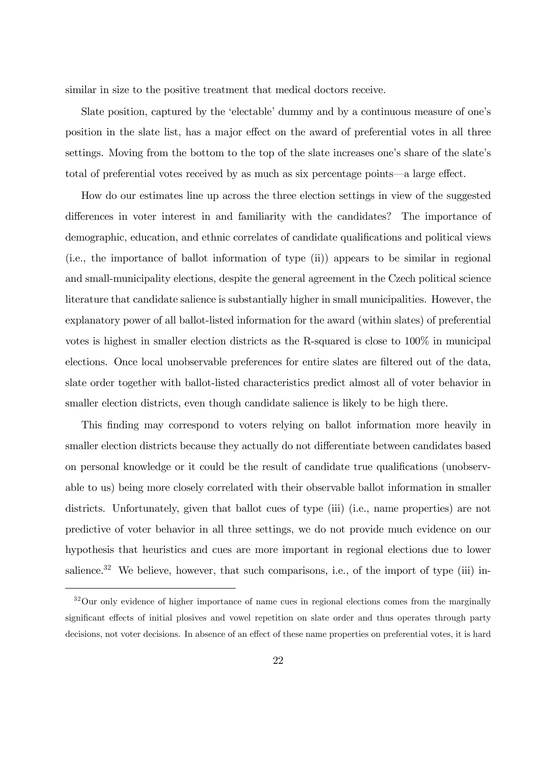similar in size to the positive treatment that medical doctors receive.

Slate position, captured by the 'electable' dummy and by a continuous measure of one's position in the slate list, has a major effect on the award of preferential votes in all three settings. Moving from the bottom to the top of the slate increases one's share of the slate's total of preferential votes received by as much as six percentage points—a large effect.

How do our estimates line up across the three election settings in view of the suggested differences in voter interest in and familiarity with the candidates? The importance of demographic, education, and ethnic correlates of candidate qualifications and political views (i.e., the importance of ballot information of type (ii)) appears to be similar in regional and small-municipality elections, despite the general agreement in the Czech political science literature that candidate salience is substantially higher in small municipalities. However, the explanatory power of all ballot-listed information for the award (within slates) of preferential votes is highest in smaller election districts as the R-squared is close to 100% in municipal elections. Once local unobservable preferences for entire slates are filtered out of the data, slate order together with ballot-listed characteristics predict almost all of voter behavior in smaller election districts, even though candidate salience is likely to be high there.

This Önding may correspond to voters relying on ballot information more heavily in smaller election districts because they actually do not differentiate between candidates based on personal knowledge or it could be the result of candidate true qualifications (unobservable to us) being more closely correlated with their observable ballot information in smaller districts. Unfortunately, given that ballot cues of type (iii) (i.e., name properties) are not predictive of voter behavior in all three settings, we do not provide much evidence on our hypothesis that heuristics and cues are more important in regional elections due to lower salience.<sup>32</sup> We believe, however, that such comparisons, i.e., of the import of type (iii) in-

<sup>&</sup>lt;sup>32</sup>Our only evidence of higher importance of name cues in regional elections comes from the marginally significant effects of initial plosives and vowel repetition on slate order and thus operates through party decisions, not voter decisions. In absence of an effect of these name properties on preferential votes, it is hard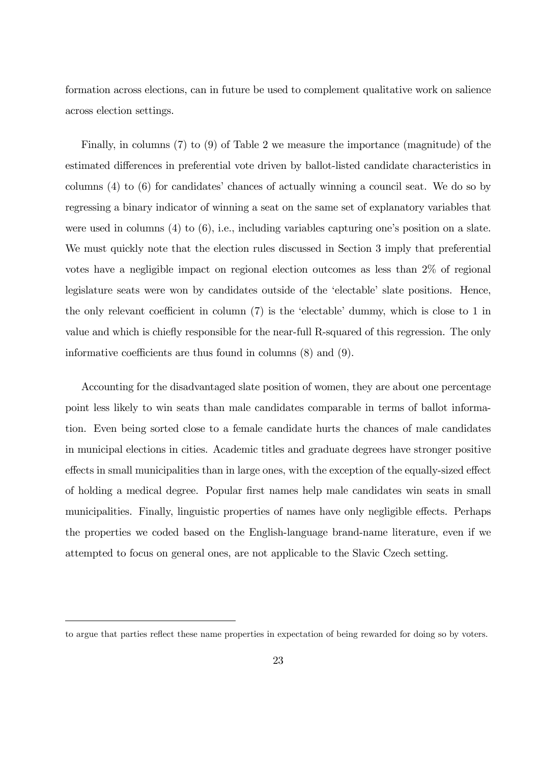formation across elections, can in future be used to complement qualitative work on salience across election settings.

Finally, in columns (7) to (9) of Table 2 we measure the importance (magnitude) of the estimated differences in preferential vote driven by ballot-listed candidate characteristics in columns  $(4)$  to  $(6)$  for candidates' chances of actually winning a council seat. We do so by regressing a binary indicator of winning a seat on the same set of explanatory variables that were used in columns  $(4)$  to  $(6)$ , i.e., including variables capturing one's position on a slate. We must quickly note that the election rules discussed in Section 3 imply that preferential votes have a negligible impact on regional election outcomes as less than 2% of regional legislature seats were won by candidates outside of the 'electable' slate positions. Hence, the only relevant coefficient in column  $(7)$  is the 'electable' dummy, which is close to 1 in value and which is chieáy responsible for the near-full R-squared of this regression. The only informative coefficients are thus found in columns  $(8)$  and  $(9)$ .

Accounting for the disadvantaged slate position of women, they are about one percentage point less likely to win seats than male candidates comparable in terms of ballot information. Even being sorted close to a female candidate hurts the chances of male candidates in municipal elections in cities. Academic titles and graduate degrees have stronger positive effects in small municipalities than in large ones, with the exception of the equally-sized effect of holding a medical degree. Popular first names help male candidates win seats in small municipalities. Finally, linguistic properties of names have only negligible effects. Perhaps the properties we coded based on the English-language brand-name literature, even if we attempted to focus on general ones, are not applicable to the Slavic Czech setting.

to argue that parties reflect these name properties in expectation of being rewarded for doing so by voters.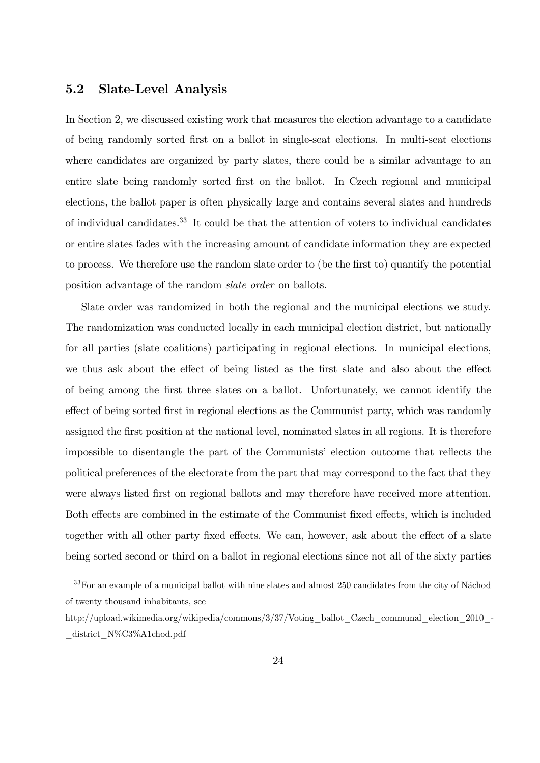#### 5.2 Slate-Level Analysis

In Section 2, we discussed existing work that measures the election advantage to a candidate of being randomly sorted Örst on a ballot in single-seat elections. In multi-seat elections where candidates are organized by party slates, there could be a similar advantage to an entire slate being randomly sorted first on the ballot. In Czech regional and municipal elections, the ballot paper is often physically large and contains several slates and hundreds of individual candidates.<sup>33</sup> It could be that the attention of voters to individual candidates or entire slates fades with the increasing amount of candidate information they are expected to process. We therefore use the random slate order to (be the first to) quantify the potential position advantage of the random slate order on ballots.

Slate order was randomized in both the regional and the municipal elections we study. The randomization was conducted locally in each municipal election district, but nationally for all parties (slate coalitions) participating in regional elections. In municipal elections, we thus ask about the effect of being listed as the first slate and also about the effect of being among the Örst three slates on a ballot. Unfortunately, we cannot identify the effect of being sorted first in regional elections as the Communist party, which was randomly assigned the first position at the national level, nominated slates in all regions. It is therefore impossible to disentangle the part of the Communists' election outcome that reflects the political preferences of the electorate from the part that may correspond to the fact that they were always listed first on regional ballots and may therefore have received more attention. Both effects are combined in the estimate of the Communist fixed effects, which is included together with all other party fixed effects. We can, however, ask about the effect of a slate being sorted second or third on a ballot in regional elections since not all of the sixty parties

 $33$  For an example of a municipal ballot with nine slates and almost 250 candidates from the city of Náchod of twenty thousand inhabitants, see

http://upload.wikimedia.org/wikipedia/commons/3/37/Voting\_ballot\_Czech\_communal\_election\_2010\_- \_district\_N%C3%A1chod.pdf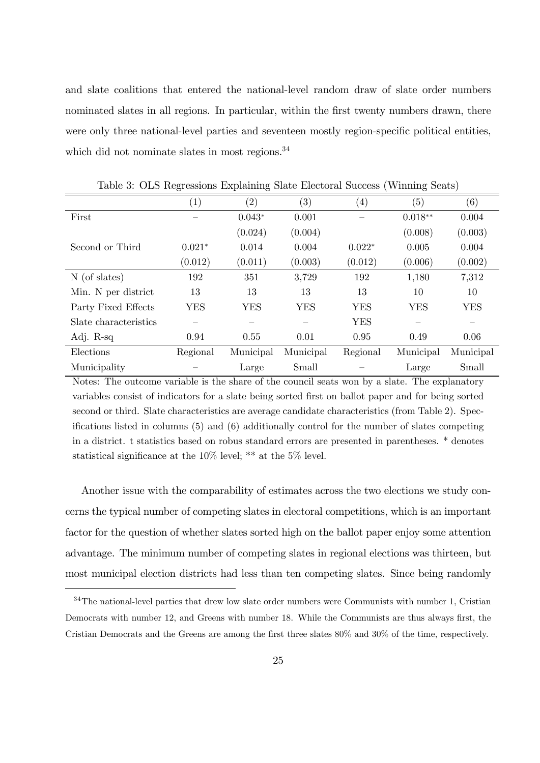and slate coalitions that entered the national-level random draw of slate order numbers nominated slates in all regions. In particular, within the first twenty numbers drawn, there were only three national-level parties and seventeen mostly region-specific political entities, which did not nominate slates in most regions.<sup>34</sup>

|                       | $\left( 1\right)$ | $\left( 2\right)$ | $\left( 3\right)$ | $\left( 4\right)$ | $\left( 5\right)$ | (6)        |
|-----------------------|-------------------|-------------------|-------------------|-------------------|-------------------|------------|
| First                 |                   | $0.043*$          | 0.001             |                   | $0.018**$         | 0.004      |
|                       |                   | (0.024)           | (0.004)           |                   | (0.008)           | (0.003)    |
| Second or Third       | $0.021*$          | 0.014             | 0.004             | $0.022*$          | 0.005             | 0.004      |
|                       | (0.012)           | (0.011)           | (0.003)           | (0.012)           | (0.006)           | (0.002)    |
| N (of slates)         | 192               | 351               | 3,729             | 192               | 1,180             | 7,312      |
| Min. N per district   | 13                | 13                | 13                | 13                | 10                | 10         |
| Party Fixed Effects   | <b>YES</b>        | <b>YES</b>        | <b>YES</b>        | <b>YES</b>        | YES               | <b>YES</b> |
| Slate characteristics |                   |                   |                   | <b>YES</b>        |                   |            |
| Adj. R-sq             | 0.94              | 0.55              | 0.01              | 0.95              | 0.49              | 0.06       |
| Elections             | Regional          | Municipal         | Municipal         | Regional          | Municipal         | Municipal  |
| Municipality          |                   | Large             | Small             |                   | Large             | Small      |

Table 3: OLS Regressions Explaining Slate Electoral Success (Winning Seats)

Notes: The outcome variable is the share of the council seats won by a slate. The explanatory variables consist of indicators for a slate being sorted first on ballot paper and for being sorted second or third. Slate characteristics are average candidate characteristics (from Table 2). Specifications listed in columns  $(5)$  and  $(6)$  additionally control for the number of slates competing in a district. t statistics based on robus standard errors are presented in parentheses. \* denotes statistical significance at the  $10\%$  level; \*\* at the  $5\%$  level.

Another issue with the comparability of estimates across the two elections we study concerns the typical number of competing slates in electoral competitions, which is an important factor for the question of whether slates sorted high on the ballot paper enjoy some attention advantage. The minimum number of competing slates in regional elections was thirteen, but most municipal election districts had less than ten competing slates. Since being randomly

<sup>34</sup>The national-level parties that drew low slate order numbers were Communists with number 1, Cristian Democrats with number 12, and Greens with number 18. While the Communists are thus always first, the Cristian Democrats and the Greens are among the first three slates 80% and 30% of the time, respectively.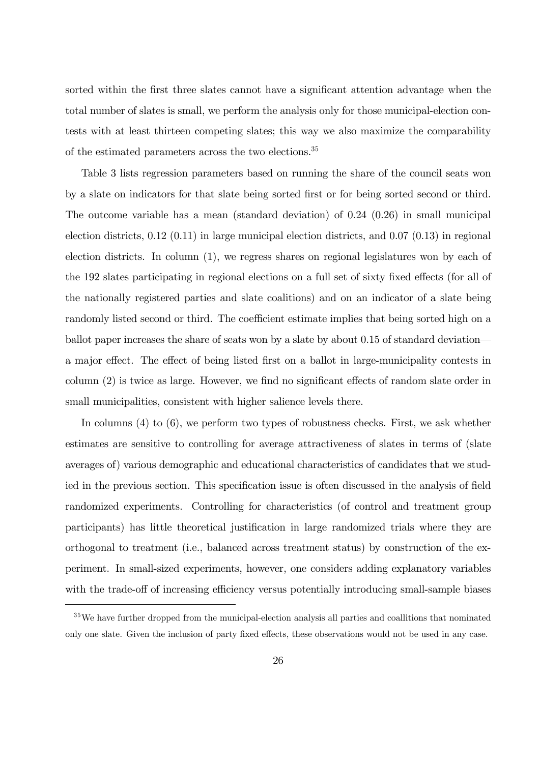sorted within the first three slates cannot have a significant attention advantage when the total number of slates is small, we perform the analysis only for those municipal-election contests with at least thirteen competing slates; this way we also maximize the comparability of the estimated parameters across the two elections.<sup>35</sup>

Table 3 lists regression parameters based on running the share of the council seats won by a slate on indicators for that slate being sorted Örst or for being sorted second or third. The outcome variable has a mean (standard deviation) of 0.24 (0.26) in small municipal election districts, 0.12 (0.11) in large municipal election districts, and 0.07 (0.13) in regional election districts. In column (1), we regress shares on regional legislatures won by each of the 192 slates participating in regional elections on a full set of sixty fixed effects (for all of the nationally registered parties and slate coalitions) and on an indicator of a slate being randomly listed second or third. The coefficient estimate implies that being sorted high on a ballot paper increases the share of seats won by a slate by about 0.15 of standard deviation a major effect. The effect of being listed first on a ballot in large-municipality contests in column  $(2)$  is twice as large. However, we find no significant effects of random slate order in small municipalities, consistent with higher salience levels there.

In columns (4) to (6), we perform two types of robustness checks. First, we ask whether estimates are sensitive to controlling for average attractiveness of slates in terms of (slate averages of) various demographic and educational characteristics of candidates that we studied in the previous section. This specification issue is often discussed in the analysis of field randomized experiments. Controlling for characteristics (of control and treatment group participants) has little theoretical justification in large randomized trials where they are orthogonal to treatment (i.e., balanced across treatment status) by construction of the experiment. In small-sized experiments, however, one considers adding explanatory variables with the trade-off of increasing efficiency versus potentially introducing small-sample biases

<sup>&</sup>lt;sup>35</sup>We have further dropped from the municipal-election analysis all parties and coallitions that nominated only one slate. Given the inclusion of party fixed effects, these observations would not be used in any case.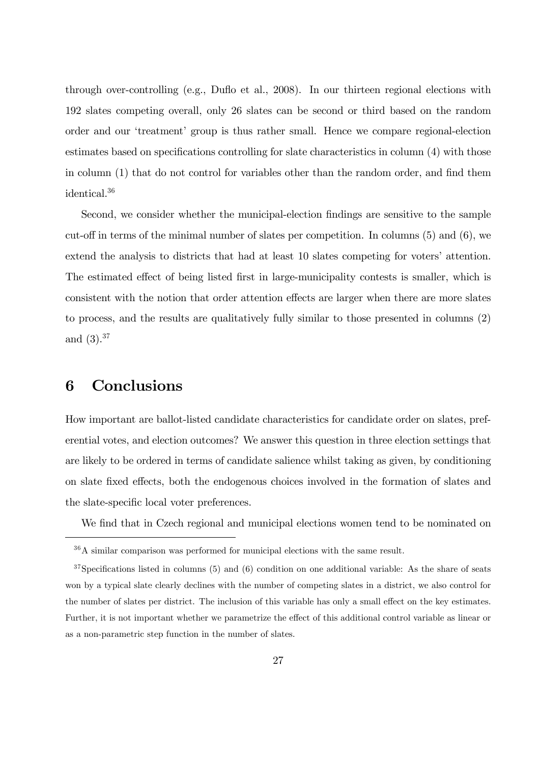through over-controlling (e.g., Duflo et al., 2008). In our thirteen regional elections with 192 slates competing overall, only 26 slates can be second or third based on the random order and our ëtreatmentí group is thus rather small. Hence we compare regional-election estimates based on specifications controlling for slate characteristics in column (4) with those in column (1) that do not control for variables other than the random order, and find them identical.<sup>36</sup>

Second, we consider whether the municipal-election findings are sensitive to the sample cut-off in terms of the minimal number of slates per competition. In columns  $(5)$  and  $(6)$ , we extend the analysis to districts that had at least 10 slates competing for voters' attention. The estimated effect of being listed first in large-municipality contests is smaller, which is consistent with the notion that order attention effects are larger when there are more slates to process, and the results are qualitatively fully similar to those presented in columns (2) and  $(3).^{37}$ 

#### 6 Conclusions

How important are ballot-listed candidate characteristics for candidate order on slates, preferential votes, and election outcomes? We answer this question in three election settings that are likely to be ordered in terms of candidate salience whilst taking as given, by conditioning on slate fixed effects, both the endogenous choices involved in the formation of slates and the slate-specific local voter preferences.

We find that in Czech regional and municipal elections women tend to be nominated on

<sup>36</sup>A similar comparison was performed for municipal elections with the same result.

 $37$ Specifications listed in columns (5) and (6) condition on one additional variable: As the share of seats won by a typical slate clearly declines with the number of competing slates in a district, we also control for the number of slates per district. The inclusion of this variable has only a small effect on the key estimates. Further, it is not important whether we parametrize the effect of this additional control variable as linear or as a non-parametric step function in the number of slates.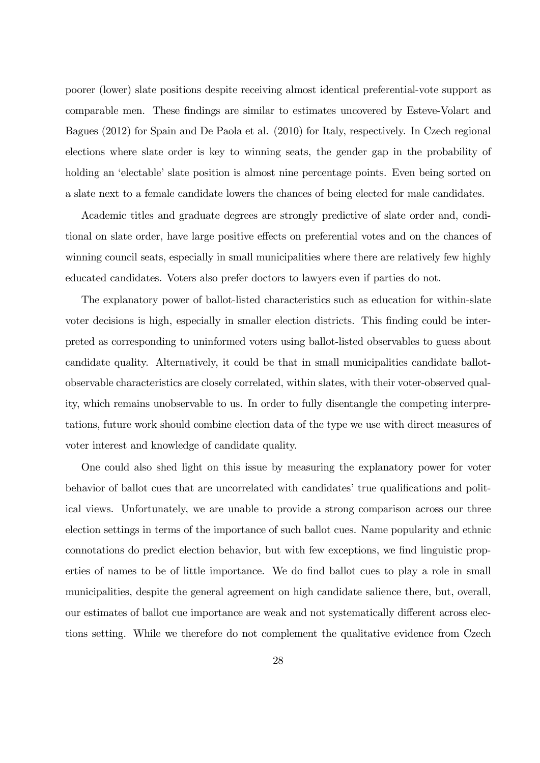poorer (lower) slate positions despite receiving almost identical preferential-vote support as comparable men. These findings are similar to estimates uncovered by Esteve-Volart and Bagues (2012) for Spain and De Paola et al. (2010) for Italy, respectively. In Czech regional elections where slate order is key to winning seats, the gender gap in the probability of holding an 'electable' slate position is almost nine percentage points. Even being sorted on a slate next to a female candidate lowers the chances of being elected for male candidates.

Academic titles and graduate degrees are strongly predictive of slate order and, conditional on slate order, have large positive effects on preferential votes and on the chances of winning council seats, especially in small municipalities where there are relatively few highly educated candidates. Voters also prefer doctors to lawyers even if parties do not.

The explanatory power of ballot-listed characteristics such as education for within-slate voter decisions is high, especially in smaller election districts. This Önding could be interpreted as corresponding to uninformed voters using ballot-listed observables to guess about candidate quality. Alternatively, it could be that in small municipalities candidate ballotobservable characteristics are closely correlated, within slates, with their voter-observed quality, which remains unobservable to us. In order to fully disentangle the competing interpretations, future work should combine election data of the type we use with direct measures of voter interest and knowledge of candidate quality.

One could also shed light on this issue by measuring the explanatory power for voter behavior of ballot cues that are uncorrelated with candidates' true qualifications and political views. Unfortunately, we are unable to provide a strong comparison across our three election settings in terms of the importance of such ballot cues. Name popularity and ethnic connotations do predict election behavior, but with few exceptions, we find linguistic properties of names to be of little importance. We do find ballot cues to play a role in small municipalities, despite the general agreement on high candidate salience there, but, overall, our estimates of ballot cue importance are weak and not systematically different across elections setting. While we therefore do not complement the qualitative evidence from Czech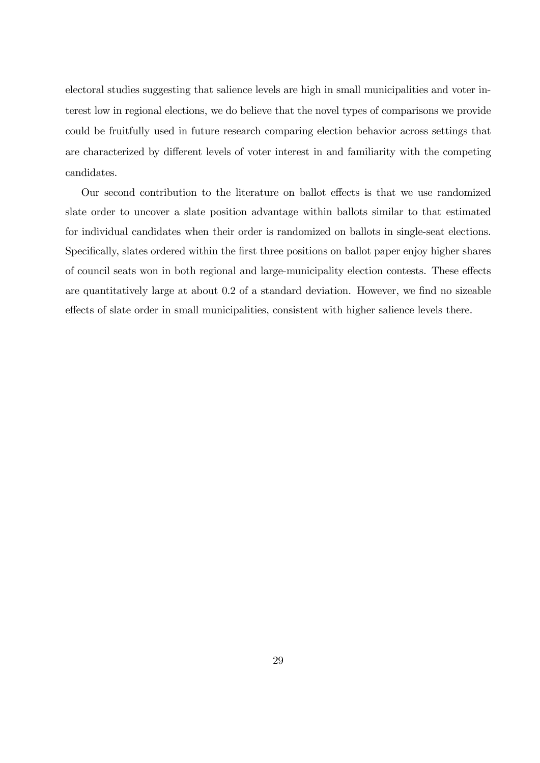electoral studies suggesting that salience levels are high in small municipalities and voter interest low in regional elections, we do believe that the novel types of comparisons we provide could be fruitfully used in future research comparing election behavior across settings that are characterized by different levels of voter interest in and familiarity with the competing candidates.

Our second contribution to the literature on ballot effects is that we use randomized slate order to uncover a slate position advantage within ballots similar to that estimated for individual candidates when their order is randomized on ballots in single-seat elections. Specifically, slates ordered within the first three positions on ballot paper enjoy higher shares of council seats won in both regional and large-municipality election contests. These effects are quantitatively large at about 0.2 of a standard deviation. However, we find no sizeable effects of slate order in small municipalities, consistent with higher salience levels there.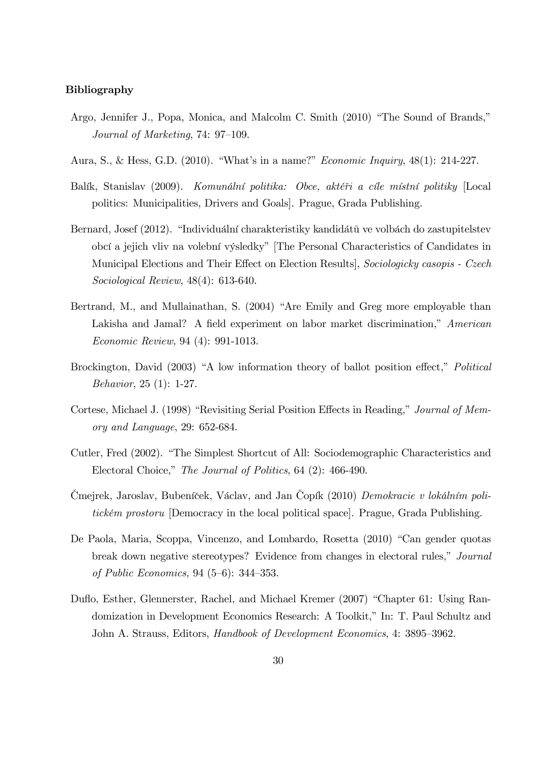#### Bibliography

- Argo, Jennifer J., Popa, Monica, and Malcolm C. Smith (2010) "The Sound of Brands," Journal of Marketing, 74:  $97-109$ .
- Aura, S., & Hess, G.D. (2010). "What's in a name?" *Economic Inquiry*,  $48(1)$ : 214-227.
- Balík, Stanislav (2009). Komunální politika: Obce, aktěři a cíle místní politiky [Local politics: Municipalities, Drivers and Goals]. Prague, Grada Publishing.
- Bernard, Josef (2012). "Individuální charakteristiky kandidátů ve volbách do zastupitelstev obcí a jejich vliv na volební výsledky" [The Personal Characteristics of Candidates in Municipal Elections and Their Effect on Election Results], Sociologicky casopis - Czech Sociological Review, 48(4): 613-640.
- Bertrand, M., and Mullainathan, S. (2004) "Are Emily and Greg more employable than Lakisha and Jamal? A field experiment on labor market discrimination," American Economic Review, 94 (4): 991-1013.
- Brockington, David (2003) "A low information theory of ballot position effect," Political Behavior, 25 (1): 1-27.
- Cortese, Michael J. (1998) "Revisiting Serial Position Effects in Reading," Journal of Memory and Language, 29: 652-684.
- Cutler, Fred (2002). "The Simplest Shortcut of All: Sociodemographic Characteristics and Electoral Choice," The Journal of Politics, 64 (2): 466-490.
- Čmejrek, Jaroslav, Bubeníček, Václav, and Jan Čopík (2010) *Demokracie v lokálním poli*tickém prostoru [Democracy in the local political space]. Prague, Grada Publishing.
- De Paola, Maria, Scoppa, Vincenzo, and Lombardo, Rosetta (2010) "Can gender quotas break down negative stereotypes? Evidence from changes in electoral rules," Journal of Public Economics, 94  $(5-6)$ : 344-353.
- Duflo, Esther, Glennerster, Rachel, and Michael Kremer (2007) "Chapter 61: Using Randomization in Development Economics Research: A Toolkit," In: T. Paul Schultz and John A. Strauss, Editors, Handbook of Development Economics, 4: 3895-3962.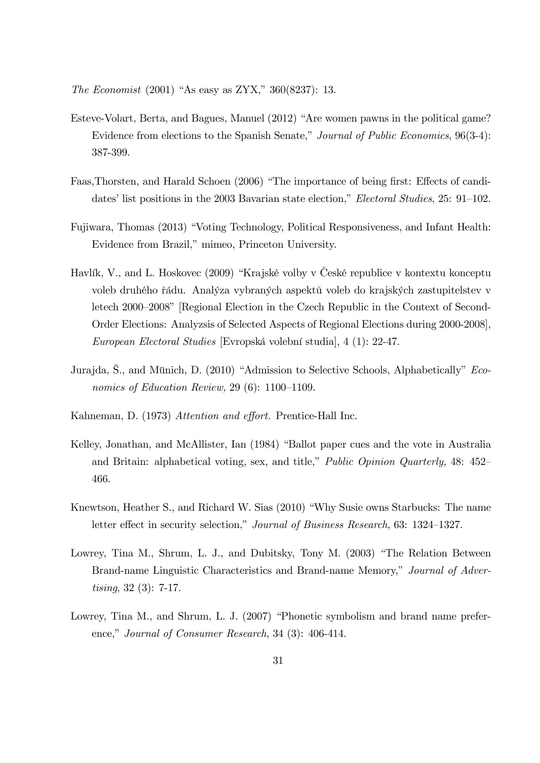The Economist  $(2001)$  "As easy as ZYX,"  $360(8237)$ : 13.

- Esteve-Volart, Berta, and Bagues, Manuel (2012) "Are women pawns in the political game? Evidence from elections to the Spanish Senate," Journal of Public Economics, 96(3-4): 387-399.
- Faas, Thorsten, and Harald Schoen (2006) "The importance of being first: Effects of candidates' list positions in the 2003 Bavarian state election," *Electoral Studies*, 25: 91–102.
- Fujiwara, Thomas (2013) "Voting Technology, Political Responsiveness, and Infant Health: Evidence from Brazil," mimeo, Princeton University.
- Havlík, V., and L. Hoskovec (2009) "Krajské volby v České republice v kontextu konceptu voleb druhého řádu. Analýza vybraných aspektů voleb do krajských zastupitelstev v letech 2000–2008<sup>°</sup> [Regional Election in the Czech Republic in the Context of Second-Order Elections: Analyzsis of Selected Aspects of Regional Elections during 2000-2008], European Electoral Studies [Evropská volební studia], 4 (1): 22-47.
- Jurajda, Š., and Münich, D. (2010) "Admission to Selective Schools, Alphabetically" Economics of Education Review,  $29(6)$ : 1100-1109.
- Kahneman, D. (1973) Attention and effort. Prentice-Hall Inc.
- Kelley, Jonathan, and McAllister, Ian (1984) "Ballot paper cues and the vote in Australia and Britain: alphabetical voting, sex, and title," Public Opinion Quarterly, 48: 452– 466.
- Knewtson, Heather S., and Richard W. Sias (2010) "Why Susie owns Starbucks: The name letter effect in security selection," Journal of Business Research, 63: 1324–1327.
- Lowrey, Tina M., Shrum, L. J., and Dubitsky, Tony M. (2003) "The Relation Between Brand-name Linguistic Characteristics and Brand-name Memory," Journal of Advertising, 32 (3): 7-17.
- Lowrey, Tina M., and Shrum, L. J.  $(2007)$  "Phonetic symbolism and brand name preference," Journal of Consumer Research, 34 (3): 406-414.